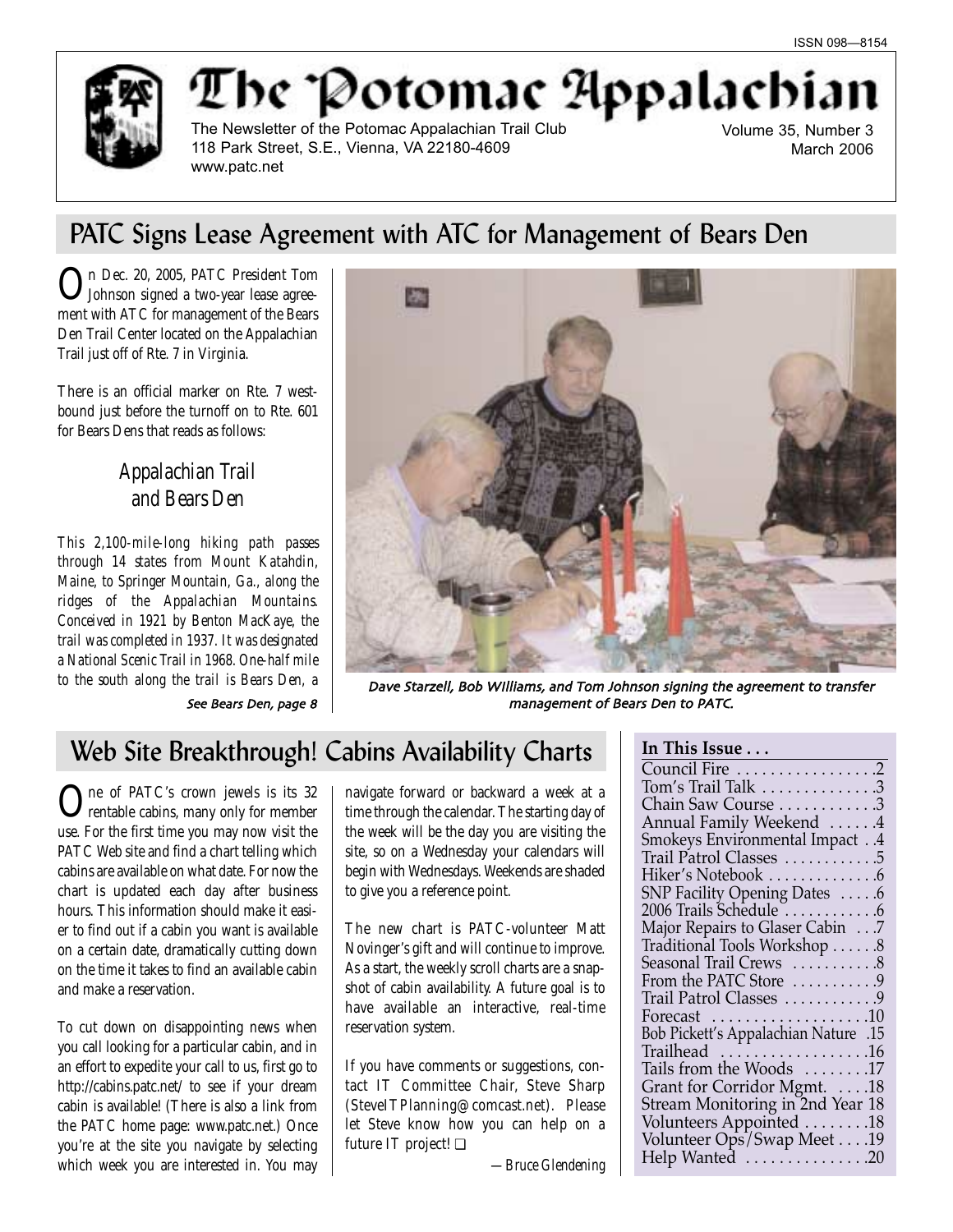

# The Potomac Appalachia

The Newsletter of the Potomac Appalachian Trail Club 118 Park Street, S.E., Vienna, VA 22180-4609 www.patc.net

Volume 35, Number 3 March 2006

# PATC Signs Lease Agreement with ATC for Management of Bears Den

On Dec. 20, 2005, PATC President Tom Johnson signed a two-year lease agreement with ATC for management of the Bears Den Trail Center located on the Appalachian Trail just off of Rte. 7 in Virginia.

There is an official marker on Rte. 7 westbound just before the turnoff on to Rte. 601 for Bears Dens that reads as follows:

## *Appalachian Trail and Bears Den*

*This 2,100-mile-long hiking path passes through 14 states from Mount Katahdin, Maine, to Springer Mountain, Ga., along the ridges of the Appalachian Mountains. Conceived in 1921 by Benton MacKaye, the trail was completed in 1937. It was designated a National Scenic Trail in 1968. One-half mile*



to the south along the trail is Bears Den, a **Dave Starzell, Bob Williams, and Tom Johnson signing the agreement to transfer** See Bears Den, page 8 and the management of Bears Den to PATC.

# Web Site Breakthrough! Cabins Availability Charts | In This Issue . .

One of PATC's crown jewels is its 32 rentable cabins, many only for member use. For the first time you may now visit the PATC Web site and find a chart telling which cabins are available on what date. For now the chart is updated each day after business hours. This information should make it easier to find out if a cabin you want is available on a certain date, dramatically cutting down on the time it takes to find an available cabin and make a reservation.

To cut down on disappointing news when you call looking for a particular cabin, and in an effort to expedite your call to us, first go to http://cabins.patc.net/ to see if your dream cabin is available! (There is also a link from the PATC home page: www.patc.net.) Once you're at the site you navigate by selecting which week you are interested in. You may

navigate forward or backward a week at a time through the calendar. The starting day of the week will be the day you are visiting the site, so on a Wednesday your calendars will begin with Wednesdays. Weekends are shaded to give you a reference point.

The new chart is PATC-volunteer Matt Novinger's gift and will continue to improve. As a start, the weekly scroll charts are a snapshot of cabin availability. A future goal is to have available an interactive, real-time reservation system.

If you have comments or suggestions, contact IT Committee Chair, Steve Sharp (SteveITPlanning@comcast.net). Please let Steve know how you can help on a future IT project! ❏

| Council Fire 2                                                  |
|-----------------------------------------------------------------|
| Tom's Trail Talk 3                                              |
| Chain Saw Course 3                                              |
| Annual Family Weekend 4                                         |
| <b>Smokeys Environmental Impact</b> 4                           |
| Trail Patrol Classes 5                                          |
| Hiker's Notebook 6                                              |
| SNP Facility Opening Dates 6                                    |
| 2006 Trails Schedule 6                                          |
| Major Repairs to Glaser Cabin 7<br>Traditional Tools Workshop 8 |
|                                                                 |
| Seasonal Trail Crews  8                                         |
| From the PATC Store 9                                           |
| Trail Patrol Classes 9                                          |
| Forecast $\dots\dots\dots\dots\dots\dots$                       |
| 15. Bob Pickett's Appalachian Nature                            |
| Trailhead 16                                                    |
| Tails from the Woods 17                                         |
| Grant for Corridor Mgmt. 18                                     |
| Stream Monitoring in 2nd Year 18                                |
|                                                                 |
| Volunteers Appointed 18<br>Volunteer Ops/Swap Meet 19           |
| Help Wanted 20                                                  |
|                                                                 |

*—Bruce Glendening*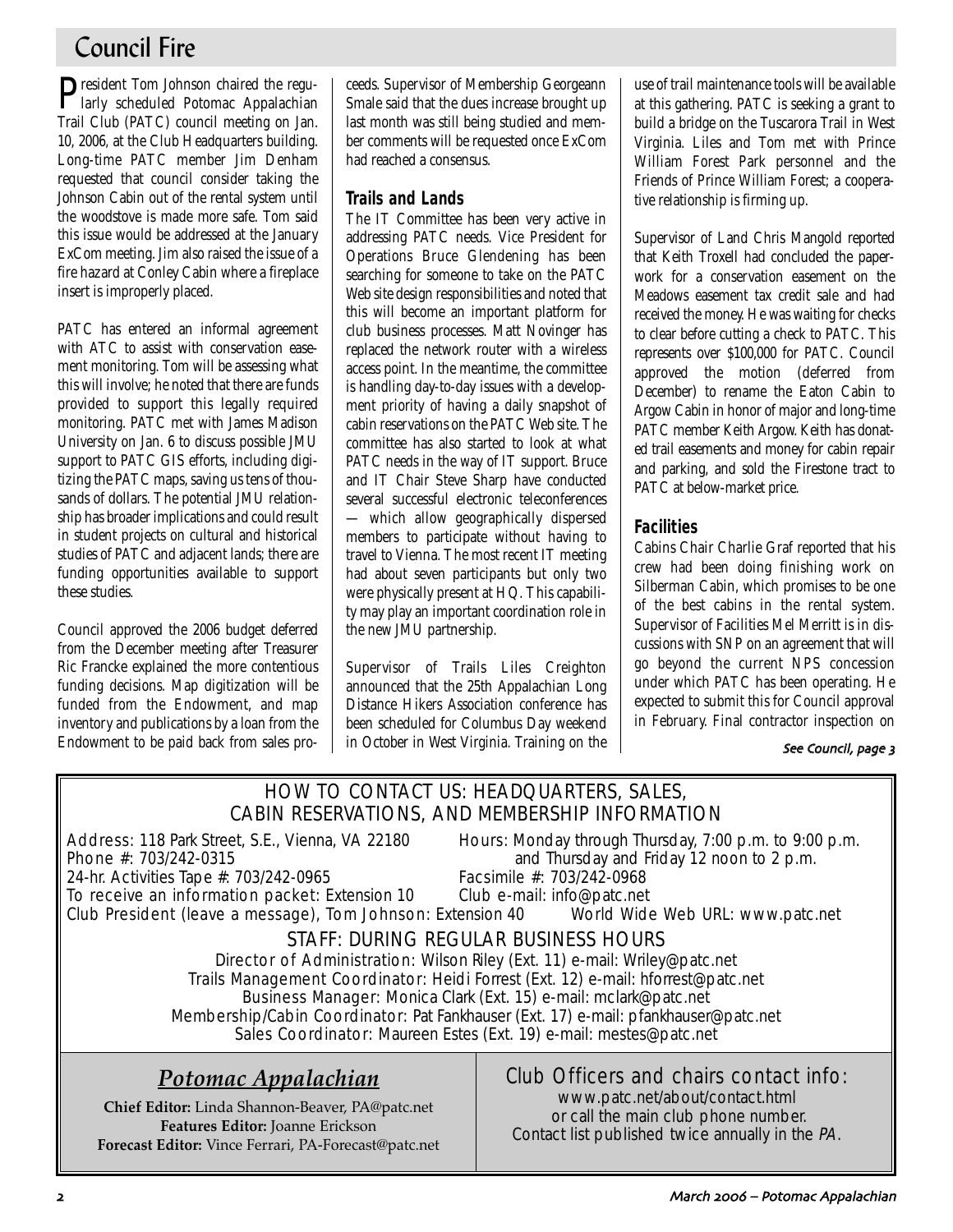# Council Fire

**P**resident Tom Johnson chaired the regu-<br>larly scheduled Potomac Appalachian Trail Club (PATC) council meeting on Jan. 10, 2006, at the Club Headquarters building. Long-time PATC member Jim Denham requested that council consider taking the Johnson Cabin out of the rental system until the woodstove is made more safe. Tom said this issue would be addressed at the January ExCom meeting. Jim also raised the issue of a fire hazard at Conley Cabin where a fireplace insert is improperly placed.

PATC has entered an informal agreement with ATC to assist with conservation easement monitoring. Tom will be assessing what this will involve; he noted that there are funds provided to support this legally required monitoring. PATC met with James Madison University on Jan. 6 to discuss possible JMU support to PATC GIS efforts, including digitizing the PATC maps, saving us tens of thousands of dollars. The potential JMU relationship has broader implications and could result in student projects on cultural and historical studies of PATC and adjacent lands; there are funding opportunities available to support these studies.

Council approved the 2006 budget deferred from the December meeting after Treasurer Ric Francke explained the more contentious funding decisions. Map digitization will be funded from the Endowment, and map inventory and publications by a loan from the Endowment to be paid back from sales proceeds. Supervisor of Membership Georgeann Smale said that the dues increase brought up last month was still being studied and member comments will be requested once ExCom had reached a consensus.

## **Trails and Lands**

The IT Committee has been very active in addressing PATC needs. Vice President for Operations Bruce Glendening has been searching for someone to take on the PATC Web site design responsibilities and noted that this will become an important platform for club business processes. Matt Novinger has replaced the network router with a wireless access point. In the meantime, the committee is handling day-to-day issues with a development priority of having a daily snapshot of cabin reservations on the PATC Web site. The committee has also started to look at what PATC needs in the way of IT support. Bruce and IT Chair Steve Sharp have conducted several successful electronic teleconferences — which allow geographically dispersed members to participate without having to travel to Vienna. The most recent IT meeting had about seven participants but only two were physically present at HQ. This capability may play an important coordination role in the new JMU partnership.

Supervisor of Trails Liles Creighton announced that the 25th Appalachian Long Distance Hikers Association conference has been scheduled for Columbus Day weekend in October in West Virginia. Training on the

use of trail maintenance tools will be available at this gathering. PATC is seeking a grant to build a bridge on the Tuscarora Trail in West Virginia. Liles and Tom met with Prince William Forest Park personnel and the Friends of Prince William Forest; a cooperative relationship is firming up.

Supervisor of Land Chris Mangold reported that Keith Troxell had concluded the paperwork for a conservation easement on the Meadows easement tax credit sale and had received the money. He was waiting for checks to clear before cutting a check to PATC. This represents over \$100,000 for PATC. Council approved the motion (deferred from December) to rename the Eaton Cabin to Argow Cabin in honor of major and long-time PATC member Keith Argow. Keith has donated trail easements and money for cabin repair and parking, and sold the Firestone tract to PATC at below-market price.

## **Facilities**

Cabins Chair Charlie Graf reported that his crew had been doing finishing work on Silberman Cabin, which promises to be one of the best cabins in the rental system. Supervisor of Facilities Mel Merritt is in discussions with SNP on an agreement that will go beyond the current NPS concession under which PATC has been operating. He expected to submit this for Council approval in February. Final contractor inspection on

### See Council, page 3

## HOW TO CONTACT US: HEADQUARTERS, SALES, CABIN RESERVATIONS, AND MEMBERSHIP INFORMATION

24-hr. Activities Tape #: 703/242-0965

Address: 118 Park Street, S.E., Vienna, VA 22180 Hours: Monday through Thursday, 7:00 p.m. to 9:00 p.m.<br>Phone #: 703/242-0315 **Phone** #: 703/242-0315 and Thursday and Friday 12 noon to 2 p.m.<br>Facsimile #: 703/242-0968

To receive an information packet: Extension 10 Club e-mail: info@patc.net Club President (leave a message), Tom Johnson: Extension 40 World Wide Web URL: www.patc.net

## STAFF: DURING REGULAR BUSINESS HOURS

Director of Administration: Wilson Riley (Ext. 11) e-mail: Wriley@patc.net Trails Management Coordinator: Heidi Forrest (Ext. 12) e-mail: hforrest@patc.net Business Manager: Monica Clark (Ext. 15) e-mail: mclark@patc.net Membership/Cabin Coordinator: Pat Fankhauser (Ext. 17) e-mail: pfankhauser@patc.net Sales Coordinator: Maureen Estes (Ext. 19) e-mail: mestes@patc.net

# *Potomac Appalachian*

**Chief Editor:** Linda Shannon-Beaver, PA@patc.net **Features Editor:** Joanne Erickson **Forecast Editor:** Vince Ferrari, PA-Forecast@patc.net

## Club Officers and chairs contact info:

www.patc.net/about/contact.html or call the main club phone number. Contact list published twice annually in the PA.

March 2006 – Potomac Appalachian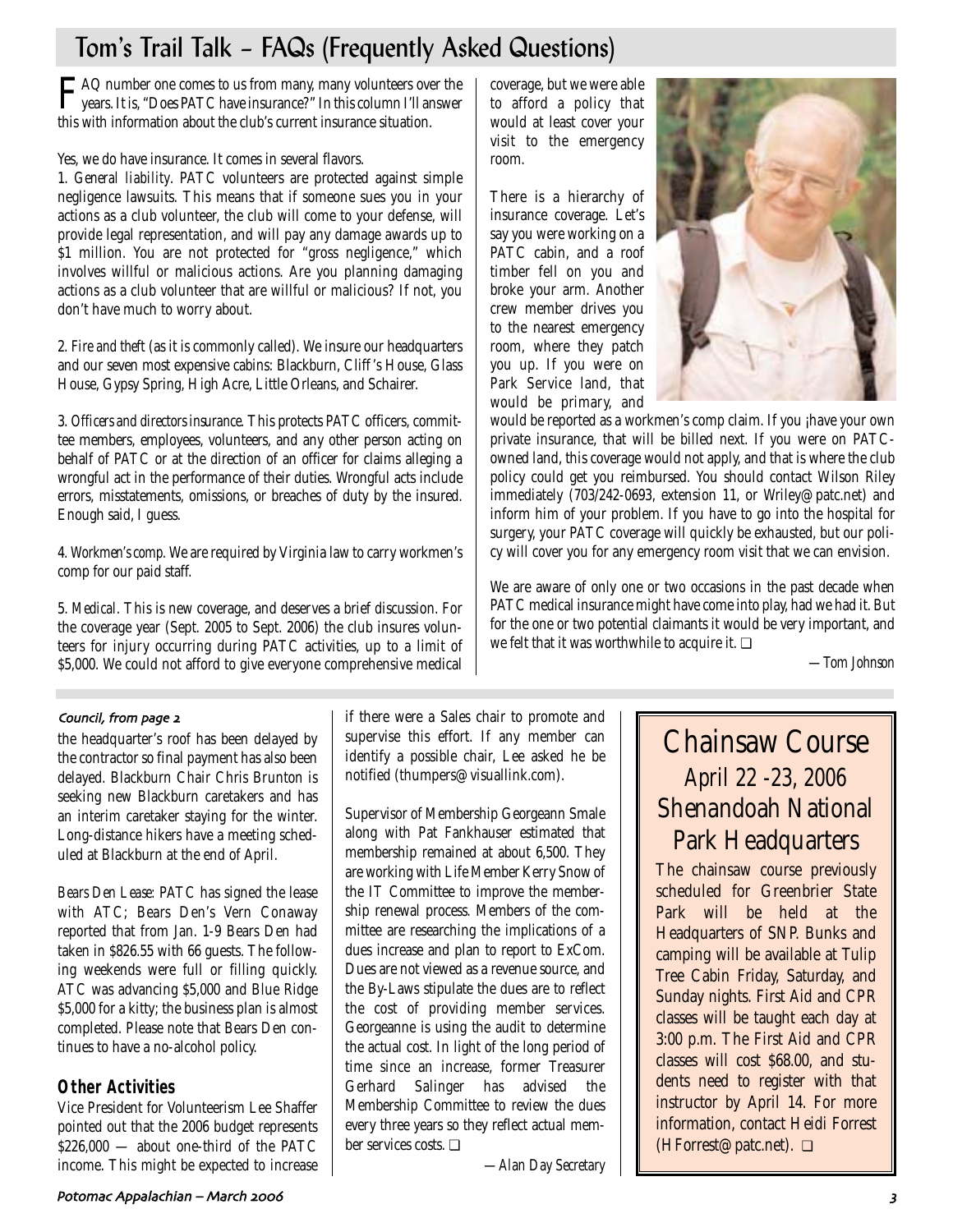# Tom's Trail Talk – FAQs (Frequently Asked Questions)

FAQ number one comes to us from many, many volunteers over the years. It is, "Does PATC have insurance?" In this column I'll answer this with information about the club's current insurance situation.

Yes, we do have insurance. It comes in several flavors.

1. *General liability*. PATC volunteers are protected against simple negligence lawsuits. This means that if someone sues you in your actions as a club volunteer, the club will come to your defense, will provide legal representation, and will pay any damage awards up to \$1 million. You are not protected for "gross negligence," which involves willful or malicious actions. Are you planning damaging actions as a club volunteer that are willful or malicious? If not, you don't have much to worry about.

2. *Fire and theft* (as it is commonly called). We insure our headquarters and our seven most expensive cabins: Blackburn, Cliff 's House, Glass House, Gypsy Spring, High Acre, Little Orleans, and Schairer.

3. *Officers and directors insurance.* This protects PATC officers, committee members, employees, volunteers, and any other person acting on behalf of PATC or at the direction of an officer for claims alleging a wrongful act in the performance of their duties. Wrongful acts include errors, misstatements, omissions, or breaches of duty by the insured. Enough said, I guess.

4. *Workmen's comp.* We are required by Virginia law to carry workmen's comp for our paid staff.

5. *Medical.* This is new coverage, and deserves a brief discussion. For the coverage year (Sept. 2005 to Sept. 2006) the club insures volunteers for injury occurring during PATC activities, up to a limit of \$5,000. We could not afford to give everyone comprehensive medical coverage, but we were able to afford a policy that would at least cover your visit to the emergency room.

There is a hierarchy of insurance coverage. Let's say you were working on a PATC cabin, and a roof timber fell on you and broke your arm. Another crew member drives you to the nearest emergency room, where they patch you up. If you were on Park Service land, that would be primary, and



would be reported as a workmen's comp claim. If you *jhave your own* private insurance, that will be billed next. If you were on PATCowned land, this coverage would not apply, and that is where the club policy could get you reimbursed. You should contact Wilson Riley immediately (703/242-0693, extension 11, or Wriley@patc.net) and inform him of your problem. If you have to go into the hospital for surgery, your PATC coverage will quickly be exhausted, but our policy will cover you for any emergency room visit that we can envision.

We are aware of only one or two occasions in the past decade when PATC medical insurance might have come into play, had we had it. But for the one or two potential claimants it would be very important, and we felt that it was worthwhile to acquire it. ❏

*—Tom Johnson*

## Council, from page 2

the headquarter's roof has been delayed by the contractor so final payment has also been delayed. Blackburn Chair Chris Brunton is seeking new Blackburn caretakers and has an interim caretaker staying for the winter. Long-distance hikers have a meeting scheduled at Blackburn at the end of April.

*Bears Den Lease:* PATC has signed the lease with ATC; Bears Den's Vern Conaway reported that from Jan. 1-9 Bears Den had taken in \$826.55 with 66 guests. The following weekends were full or filling quickly. ATC was advancing \$5,000 and Blue Ridge \$5,000 for a kitty; the business plan is almost completed. Please note that Bears Den continues to have a no-alcohol policy.

## **Other Activities**

Vice President for Volunteerism Lee Shaffer pointed out that the 2006 budget represents \$226,000 — about one-third of the PATC income. This might be expected to increase if there were a Sales chair to promote and supervise this effort. If any member can identify a possible chair, Lee asked he be notified (thumpers@visuallink.com).

Supervisor of Membership Georgeann Smale along with Pat Fankhauser estimated that membership remained at about 6,500. They are working with Life Member Kerry Snow of the IT Committee to improve the membership renewal process. Members of the committee are researching the implications of a dues increase and plan to report to ExCom. Dues are not viewed as a revenue source, and the By-Laws stipulate the dues are to reflect the cost of providing member services. Georgeanne is using the audit to determine the actual cost. In light of the long period of time since an increase, former Treasurer Gerhard Salinger has advised the Membership Committee to review the dues every three years so they reflect actual member services costs. ❏

*—Alan Day Secretary*

# Chainsaw Course *April 22 -23, 2006* Shenandoah National Park Headquarters

The chainsaw course previously scheduled for Greenbrier State Park will be held at the Headquarters of SNP. Bunks and camping will be available at Tulip Tree Cabin Friday, Saturday, and Sunday nights. First Aid and CPR classes will be taught each day at 3:00 p.m. The First Aid and CPR classes will cost \$68.00, and students need to register with that instructor by April 14. For more information, contact Heidi Forrest (HForrest@patc.net). ❏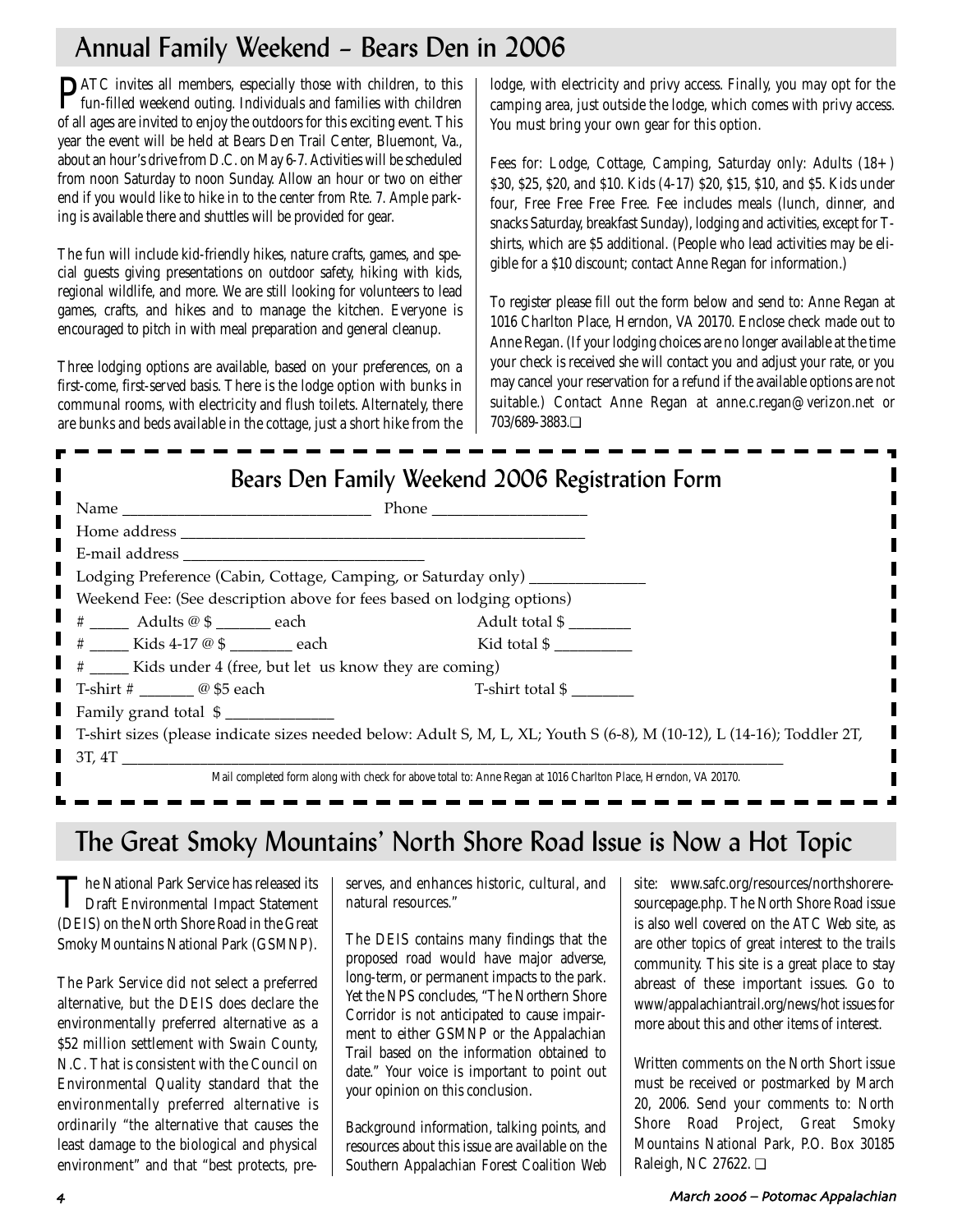# Annual Family Weekend – Bears Den in 2006

PATC invites all members, especially those with children, to this fun-filled weekend outing. Individuals and families with children of all ages are invited to enjoy the outdoors for this exciting event. This year the event will be held at Bears Den Trail Center, Bluemont, Va., about an hour's drive from D.C. on May 6-7. Activities will be scheduled from noon Saturday to noon Sunday. Allow an hour or two on either end if you would like to hike in to the center from Rte. 7. Ample parking is available there and shuttles will be provided for gear.

The fun will include kid-friendly hikes, nature crafts, games, and special guests giving presentations on outdoor safety, hiking with kids, regional wildlife, and more. We are still looking for volunteers to lead games, crafts, and hikes and to manage the kitchen. Everyone is encouraged to pitch in with meal preparation and general cleanup.

Three lodging options are available, based on your preferences, on a first-come, first-served basis. There is the lodge option with bunks in communal rooms, with electricity and flush toilets. Alternately, there are bunks and beds available in the cottage, just a short hike from the lodge, with electricity and privy access. Finally, you may opt for the camping area, just outside the lodge, which comes with privy access. You must bring your own gear for this option.

Fees for: Lodge, Cottage, Camping, Saturday only: Adults (18+) \$30, \$25, \$20, and \$10. Kids (4-17) \$20, \$15, \$10, and \$5. Kids under four, Free Free Free Free. Fee includes meals (lunch, dinner, and snacks Saturday, breakfast Sunday), lodging and activities, except for Tshirts, which are \$5 additional. (People who lead activities may be eligible for a \$10 discount; contact Anne Regan for information.)

To register please fill out the form below and send to: Anne Regan at 1016 Charlton Place, Herndon, VA 20170. Enclose check made out to Anne Regan. (If your lodging choices are no longer available at the time your check is received she will contact you and adjust your rate, or you may cancel your reservation for a refund if the available options are not suitable.) Contact Anne Regan at anne.c.regan@verizon.net or 703/689-3883.❏

| Bears Den Family Weekend 2006 Registration Form                                                                                                                                                                                |                  |  |  |
|--------------------------------------------------------------------------------------------------------------------------------------------------------------------------------------------------------------------------------|------------------|--|--|
|                                                                                                                                                                                                                                |                  |  |  |
|                                                                                                                                                                                                                                |                  |  |  |
| E-mail address and the state of the state of the state of the state of the state of the state of the state of the state of the state of the state of the state of the state of the state of the state of the state of the stat |                  |  |  |
| Lodging Preference (Cabin, Cottage, Camping, or Saturday only) ___________                                                                                                                                                     |                  |  |  |
| Weekend Fee: (See description above for fees based on lodging options)                                                                                                                                                         |                  |  |  |
| # ___ Adults @ \$ ______ each                                                                                                                                                                                                  | Adult total \$   |  |  |
| $#$ Kids 4-17 @ \$ each                                                                                                                                                                                                        | Kid total \$     |  |  |
| # _____ Kids under 4 (free, but let us know they are coming)                                                                                                                                                                   |                  |  |  |
| T-shirt # $\qquad \qquad \textcircled{a}$ \$5 each                                                                                                                                                                             | T-shirt total \$ |  |  |
| Family grand total \$                                                                                                                                                                                                          |                  |  |  |
| T-shirt sizes (please indicate sizes needed below: Adult S, M, L, XL; Youth S (6-8), M (10-12), L (14-16); Toddler 2T,                                                                                                         |                  |  |  |
| 3T, 4T                                                                                                                                                                                                                         |                  |  |  |
| Mail completed form along with check for above total to: Anne Regan at 1016 Charlton Place, Herndon, VA 20170.                                                                                                                 |                  |  |  |

# The Great Smoky Mountains' North Shore Road Issue is Now a Hot Topic

The National Park Service has released its Draft Environmental Impact Statement (DEIS) on the North Shore Road in the Great Smoky Mountains National Park (GSMNP).

The Park Service did not select a preferred alternative, but the DEIS does declare the environmentally preferred alternative as a \$52 million settlement with Swain County, N.C. That is consistent with the Council on Environmental Quality standard that the environmentally preferred alternative is ordinarily "the alternative that causes the least damage to the biological and physical environment" and that "best protects, preserves, and enhances historic, cultural, and natural resources."

The DEIS contains many findings that the proposed road would have major adverse, long-term, or permanent impacts to the park. Yet the NPS concludes, "The Northern Shore Corridor is not anticipated to cause impairment to either GSMNP or the Appalachian Trail based on the information obtained to date." Your voice is important to point out your opinion on this conclusion.

Background information, talking points, and resources about this issue are available on the Southern Appalachian Forest Coalition Web site: www.safc.org/resources/northshoreresourcepage.php. The North Shore Road issue is also well covered on the ATC Web site, as are other topics of great interest to the trails community. This site is a great place to stay abreast of these important issues. Go to www/appalachiantrail.org/news/hot issues for more about this and other items of interest.

Written comments on the North Short issue must be received or postmarked by March 20, 2006. Send your comments to: North Shore Road Project, Great Smoky Mountains National Park, P.O. Box 30185 Raleigh, NC 27622. ❏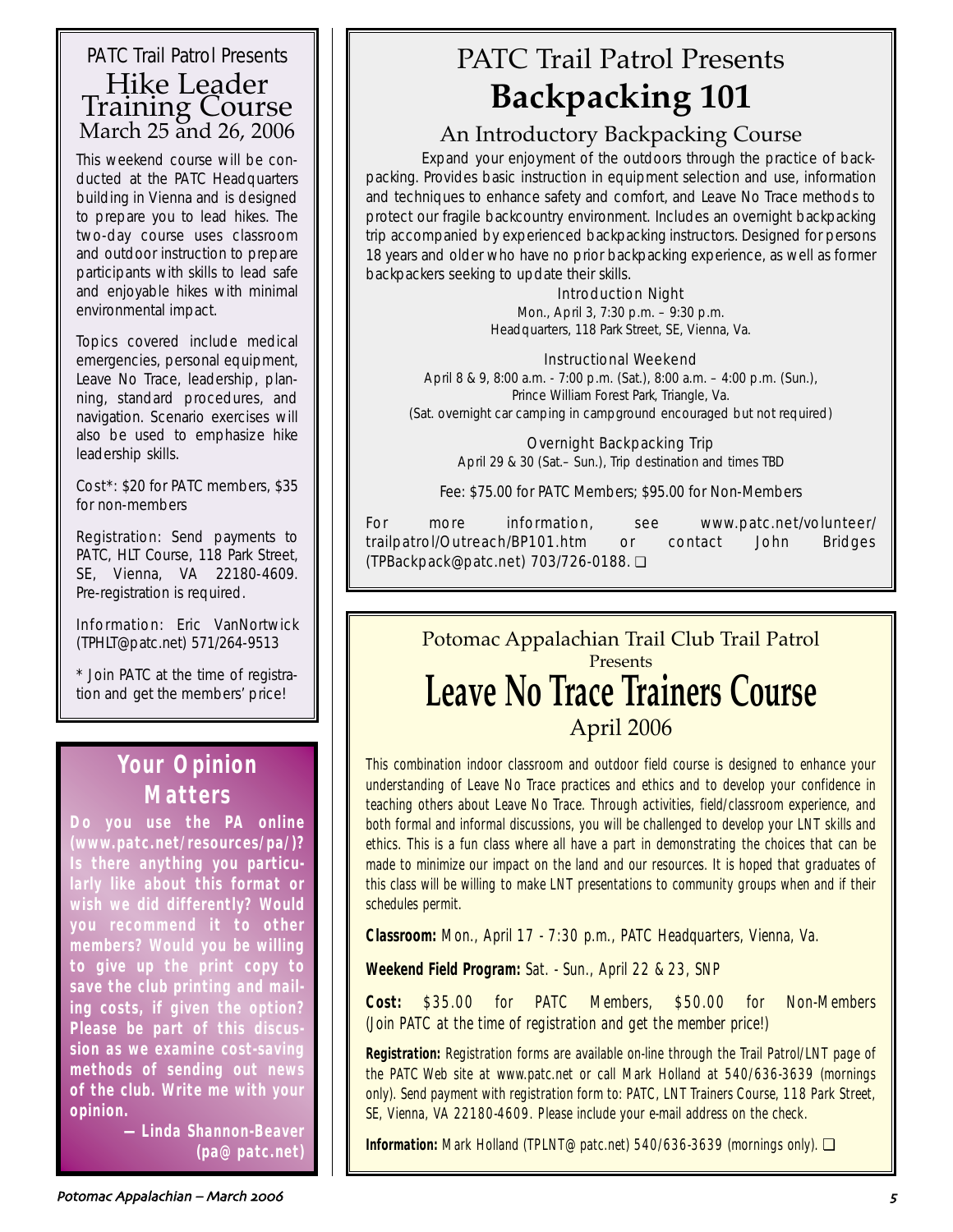## PATC Trail Patrol Presents Hike Leader Training Course March 25 and 26, 2006

This weekend course will be conducted at the PATC Headquarters building in Vienna and is designed to prepare you to lead hikes. The two-day course uses classroom and outdoor instruction to prepare participants with skills to lead safe and enjoyable hikes with minimal environmental impact.

Topics covered include medical emergencies, personal equipment, Leave No Trace, leadership, planning, standard procedures, and navigation. Scenario exercises will also be used to emphasize hike leadership skills.

Cost\*: \$20 for PATC members, \$35 for non-members

Registration: Send payments to PATC, HLT Course, 118 Park Street, SE, Vienna, VA 22180-4609. Pre-registration is required.

Information: Eric VanNortwick (TPHLT@patc.net) 571/264-9513

\* Join PATC at the time of registration and get the members' price!

# **Your Opinion Matters**

**Do you use the** *PA* **online (www.patc.net/resources/pa/)? Is there anything you particularly like about this format or wish we did differently? Would you recommend it to other members? Would you be willing to give up the print copy to save the club printing and mailing costs, if given the option? Please be part of this discussion as we examine cost-saving methods of sending out news of the club. Write me with your opinion.**

> **—Linda Shannon-Beaver (pa@patc.net)**

# PATC Trail Patrol Presents **Backpacking 101**

# An Introductory Backpacking Course

Expand your enjoyment of the outdoors through the practice of backpacking. Provides basic instruction in equipment selection and use, information and techniques to enhance safety and comfort, and Leave No Trace methods to protect our fragile backcountry environment. Includes an overnight backpacking trip accompanied by experienced backpacking instructors. Designed for persons 18 years and older who have no prior backpacking experience, as well as former backpackers seeking to update their skills.

### Introduction Night

Mon., April 3, 7:30 p.m. – 9:30 p.m. Headquarters, 118 Park Street, SE, Vienna, Va.

### Instructional Weekend

April 8 & 9, 8:00 a.m. - 7:00 p.m. (Sat.), 8:00 a.m. – 4:00 p.m. (Sun.), Prince William Forest Park, Triangle, Va. (Sat. overnight car camping in campground encouraged but not required)

> Overnight Backpacking Trip April 29 & 30 (Sat.– Sun.), Trip destination and times TBD

Fee: \$75.00 for PATC Members; \$95.00 for Non-Members

For more information, see www.patc.net/volunteer/ trailpatrol/Outreach/BP101.htm or contact John Bridges (TPBackpack@patc.net) 703/726-0188. ❏

# Potomac Appalachian Trail Club Trail Patrol Presents **Leave No Trace Trainers Course** April 2006

This combination indoor classroom and outdoor field course is designed to enhance your understanding of Leave No Trace practices and ethics and to develop your confidence in teaching others about Leave No Trace. Through activities, field/classroom experience, and both formal and informal discussions, you will be challenged to develop your LNT skills and ethics. This is a fun class where all have a part in demonstrating the choices that can be made to minimize our impact on the land and our resources. It is hoped that graduates of this class will be willing to make LNT presentations to community groups when and if their schedules permit.

**Classroom:** Mon., April 17 - 7:30 p.m., PATC Headquarters, Vienna, Va.

**Weekend Field Program:** Sat. - Sun., April 22 & 23, SNP

**Cost:** \$35.00 for PATC Members, \$50.00 for Non-Members (Join PATC at the time of registration and get the member price!)

**Registration:** Registration forms are available on-line through the Trail Patrol/LNT page of the PATC Web site at www.patc.net or call Mark Holland at 540/636-3639 (mornings only). Send payment with registration form to: PATC, LNT Trainers Course, 118 Park Street, SE, Vienna, VA 22180-4609. Please include your e-mail address on the check.

**Information:** Mark Holland (TPLNT@patc.net) 540/636-3639 (mornings only). ❏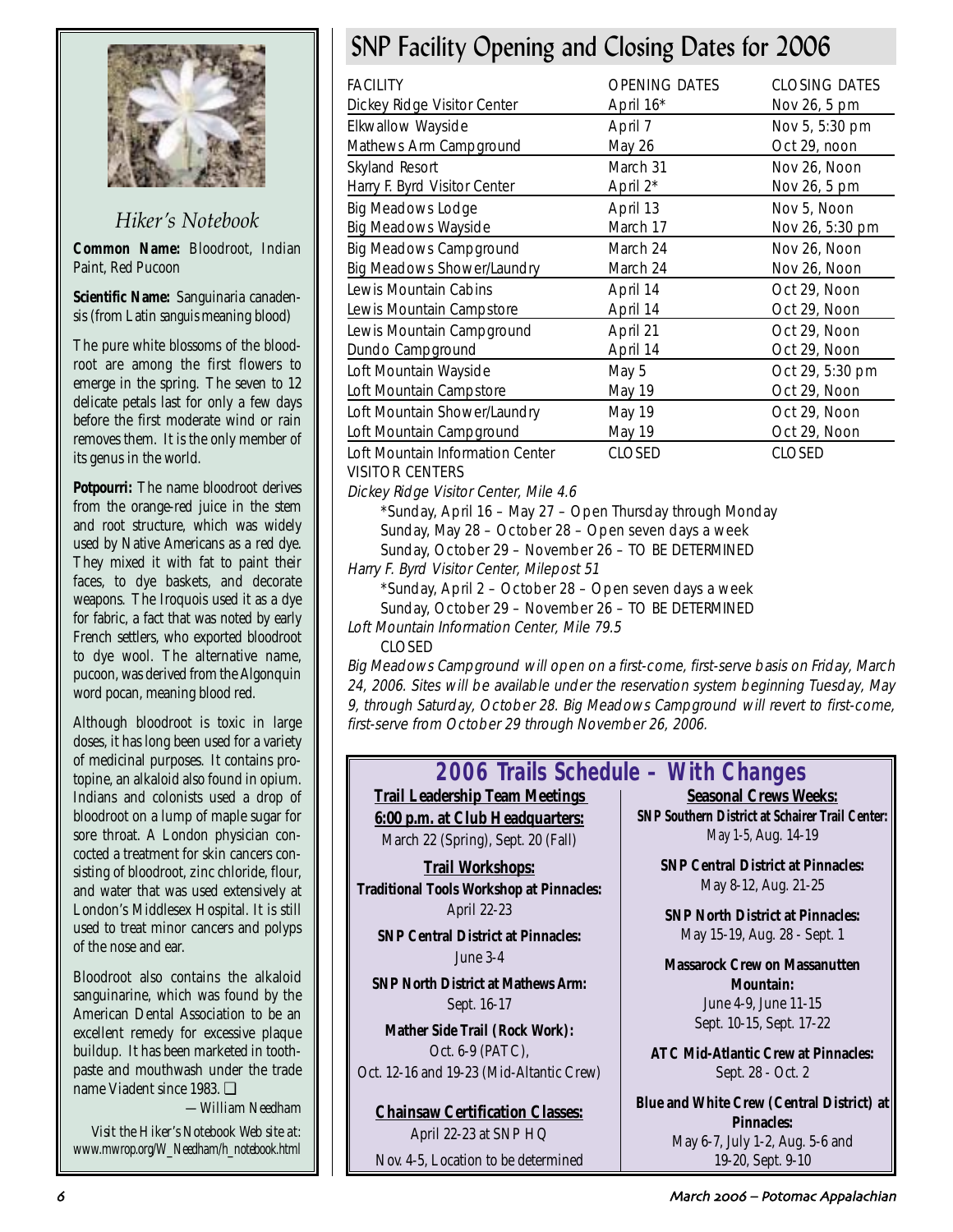

## *Hiker's Notebook*

**Common Name:** Bloodroot, Indian Paint, Red Pucoon

**Scientific Name:** Sanguinaria canadensis (from Latin *sanguis* meaning blood)

The pure white blossoms of the bloodroot are among the first flowers to emerge in the spring. The seven to 12 delicate petals last for only a few days before the first moderate wind or rain removes them. It is the only member of its genus in the world.

**Potpourri:** The name bloodroot derives from the orange-red juice in the stem and root structure, which was widely used by Native Americans as a red dye. They mixed it with fat to paint their faces, to dye baskets, and decorate weapons. The Iroquois used it as a dye for fabric, a fact that was noted by early French settlers, who exported bloodroot to dye wool. The alternative name, pucoon, was derived from the Algonquin word pocan, meaning blood red.

Although bloodroot is toxic in large doses, it has long been used for a variety of medicinal purposes. It contains protopine, an alkaloid also found in opium. Indians and colonists used a drop of bloodroot on a lump of maple sugar for sore throat. A London physician concocted a treatment for skin cancers consisting of bloodroot, zinc chloride, flour, and water that was used extensively at London's Middlesex Hospital. It is still used to treat minor cancers and polyps of the nose and ear.

Bloodroot also contains the alkaloid sanguinarine, which was found by the American Dental Association to be an excellent remedy for excessive plaque buildup. It has been marketed in toothpaste and mouthwash under the trade name Viadent since 1983. ❏

*—William Needham*

*Visit the Hiker's Notebook Web site at: www.mwrop.org/W\_Needham/h\_notebook.html*

# SNP Facility Opening and Closing Dates for 2006

| <b>FACILITY</b><br>Dickey Ridge Visitor Center | <b>OPENING DATES</b><br>April 16* | <b>CLOSING DATES</b><br>Nov 26, 5 pm |
|------------------------------------------------|-----------------------------------|--------------------------------------|
| Elkwallow Wayside                              | April 7                           | Nov 5, 5:30 pm                       |
| Mathews Arm Campground                         | May 26                            | Oct 29, noon                         |
| Skyland Resort                                 | March 31                          | Nov 26, Noon                         |
| Harry F. Byrd Visitor Center                   | April $2^*$                       | Nov 26, 5 pm                         |
| <b>Big Meadows Lodge</b>                       | April 13                          | Nov 5, Noon                          |
| <b>Big Meadows Wayside</b>                     | March 17                          | Nov 26, 5:30 pm                      |
| <b>Big Meadows Campground</b>                  | March 24                          | Nov 26, Noon                         |
| <b>Big Meadows Shower/Laundry</b>              | March 24                          | Nov 26, Noon                         |
| Lewis Mountain Cabins                          | April 14                          | Oct 29, Noon                         |
| Lewis Mountain Campstore                       | April 14                          | Oct 29, Noon                         |
| Lewis Mountain Campground                      | April 21                          | Oct 29, Noon                         |
| Dundo Campground                               | April 14                          | Oct 29, Noon                         |
| Loft Mountain Wayside                          | May 5                             | Oct 29, 5:30 pm                      |
| Loft Mountain Campstore                        | May 19                            | Oct 29, Noon                         |
| Loft Mountain Shower/Laundry                   | May 19                            | Oct 29, Noon                         |
| Loft Mountain Campground                       | May 19                            | Oct 29, Noon                         |
| Loft Mountain Information Center               | <b>CLOSED</b>                     | <b>CLOSED</b>                        |

### VISITOR CENTERS

Dickey Ridge Visitor Center, Mile 4.6

\*Sunday, April 16 – May 27 – Open Thursday through Monday

Sunday, May 28 – October 28 – Open seven days a week

Sunday, October 29 – November 26 – TO BE DETERMINED

Harry F. Byrd Visitor Center, Milepost 51

\*Sunday, April 2 – October 28 – Open seven days a week

Sunday, October 29 – November 26 – TO BE DETERMINED

Loft Mountain Information Center, Mile 79.5

CLOSED

Big Meadows Campground will open on a first-come, first-serve basis on Friday, March 24, 2006. Sites will be available under the reservation system beginning Tuesday, May 9, through Saturday, October 28. Big Meadows Campground will revert to first-come, first-serve from October 29 through November 26, 2006.

## **2006 Trails Schedule – With Changes**

**Trail Leadership Team Meetings 6:00 p.m. at Club Headquarters:** March 22 (Spring), Sept. 20 (Fall)

**Trail Workshops: Traditional Tools Workshop at Pinnacles:** April 22-23

**SNP Central District at Pinnacles:**  June 3-4

**SNP North District at Mathews Arm:**  Sept. 16-17

**Mather Side Trail (Rock Work):**  Oct. 6-9 (PATC), Oct. 12-16 and 19-23 (Mid-Altantic Crew)

**Chainsaw Certification Classes:** April 22-23 at SNP HQ Nov. 4-5, Location to be determined

**Seasonal Crews Weeks: SNP Southern District at Schairer Trail Center:** May 1-5, Aug. 14-19

**SNP Central District at Pinnacles:** May 8-12, Aug. 21-25

**SNP North District at Pinnacles:** May 15-19, Aug. 28 - Sept. 1

**Massarock Crew on Massanutten Mountain:** June 4-9, June 11-15 Sept. 10-15, Sept. 17-22

**ATC Mid-Atlantic Crew at Pinnacles:** Sept. 28 - Oct. 2

**Blue and White Crew (Central District) at Pinnacles:**  May 6-7, July 1-2, Aug. 5-6 and 19-20, Sept. 9-10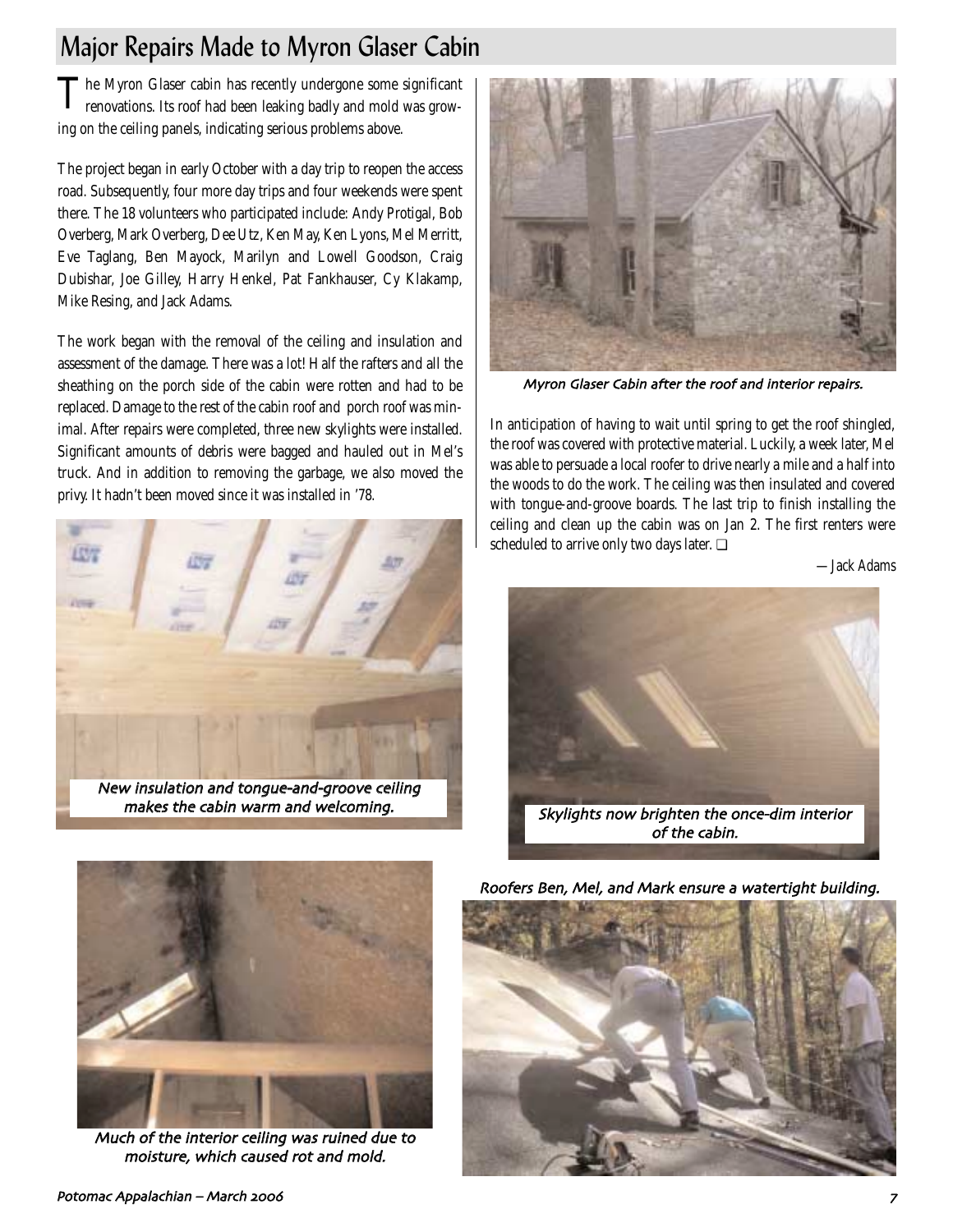# Major Repairs Made to Myron Glaser Cabin

The Myron Glaser cabin has recently undergone some significant renovations. Its roof had been leaking badly and mold was growing on the ceiling panels, indicating serious problems above.

The project began in early October with a day trip to reopen the access road. Subsequently, four more day trips and four weekends were spent there. The 18 volunteers who participated include: Andy Protigal, Bob Overberg, Mark Overberg, Dee Utz, Ken May, Ken Lyons, Mel Merritt, Eve Taglang, Ben Mayock, Marilyn and Lowell Goodson, Craig Dubishar, Joe Gilley, Harry Henkel, Pat Fankhauser, Cy Klakamp, Mike Resing, and Jack Adams.

The work began with the removal of the ceiling and insulation and assessment of the damage. There was a lot! Half the rafters and all the sheathing on the porch side of the cabin were rotten and had to be replaced. Damage to the rest of the cabin roof and porch roof was minimal. After repairs were completed, three new skylights were installed. Significant amounts of debris were bagged and hauled out in Mel's truck. And in addition to removing the garbage, we also moved the privy. It hadn't been moved since it was installed in '78.





Myron Glaser Cabin after the roof and interior repairs

In anticipation of having to wait until spring to get the roof shingled, the roof was covered with protective material. Luckily, a week later, Mel was able to persuade a local roofer to drive nearly a mile and a half into the woods to do the work. The ceiling was then insulated and covered with tongue-and-groove boards. The last trip to finish installing the ceiling and clean up the cabin was on Jan 2. The first renters were scheduled to arrive only two days later. ❏

*—Jack Adams*





Much of the interior ceiling was ruined due to moisture, which caused rot and mold.

Roofers Ben, Mel, and Mark ensure a watertight building.

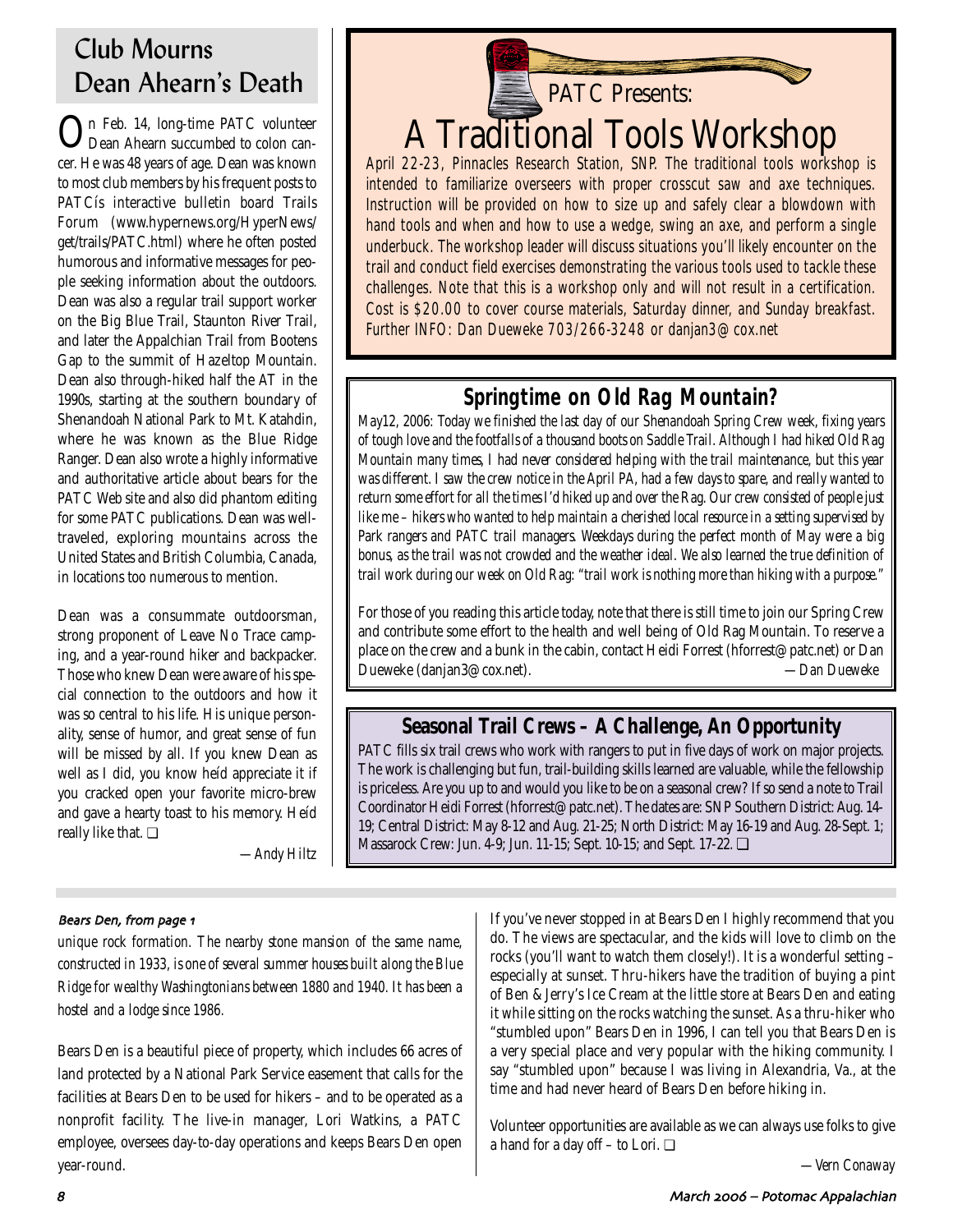# Club Mourns Dean Ahearn's Death

In Feb. 14, long-time PATC volunteer Dean Ahearn succumbed to colon cancer. He was 48 years of age. Dean was known to most club members by his frequent posts to PATCís interactive bulletin board Trails Forum (www.hypernews.org/HyperNews/ get/trails/PATC.html) where he often posted humorous and informative messages for people seeking information about the outdoors. Dean was also a regular trail support worker on the Big Blue Trail, Staunton River Trail, and later the Appalchian Trail from Bootens Gap to the summit of Hazeltop Mountain. Dean also through-hiked half the AT in the 1990s, starting at the southern boundary of Shenandoah National Park to Mt. Katahdin, where he was known as the Blue Ridge Ranger. Dean also wrote a highly informative and authoritative article about bears for the PATC Web site and also did phantom editing for some PATC publications. Dean was welltraveled, exploring mountains across the United States and British Columbia, Canada, in locations too numerous to mention.

Dean was a consummate outdoorsman, strong proponent of Leave No Trace camping, and a year-round hiker and backpacker. Those who knew Dean were aware of his special connection to the outdoors and how it was so central to his life. His unique personality, sense of humor, and great sense of fun will be missed by all. If you knew Dean as well as I did, you know heíd appreciate it if you cracked open your favorite micro-brew and gave a hearty toast to his memory. Heíd really like that. ❏

*—Andy Hiltz*



April 22-23, Pinnacles Research Station, SNP. The traditional tools workshop is intended to familiarize overseers with proper crosscut saw and axe techniques. Instruction will be provided on how to size up and safely clear a blowdown with hand tools and when and how to use a wedge, swing an axe, and perform a single underbuck. The workshop leader will discuss situations you'll likely encounter on the trail and conduct field exercises demonstrating the various tools used to tackle these challenges. Note that this is a workshop only and will not result in a certification. Cost is \$20.00 to cover course materials, Saturday dinner, and Sunday breakfast. Further INFO: Dan Dueweke 703/266-3248 or danjan3@cox.net

# **Springtime on Old Rag Mountain?**

*May12, 2006: Today we finished the last day of our Shenandoah Spring Crew week, fixing years of tough love and the footfalls of a thousand boots on Saddle Trail. Although I had hiked Old Rag Mountain many times, I had never considered helping with the trail maintenance, but this year was different. I saw the crew notice in the April PA, had a few days to spare, and really wanted to return some effort for all the times I'd hiked up and over the Rag. Our crew consisted of people just like me – hikers who wanted to help maintain a cherished local resource in a setting supervised by Park rangers and PATC trail managers. Weekdays during the perfect month of May were a big bonus, as the trail was not crowded and the weather ideal. We also learned the true definition of trail work during our week on Old Rag: "trail work is nothing more than hiking with a purpose."* 

For those of you reading this article today, note that there is still time to join our Spring Crew and contribute some effort to the health and well being of Old Rag Mountain. To reserve a place on the crew and a bunk in the cabin, contact Heidi Forrest (hforrest@patc.net) or Dan Dueweke (danjan3@cox.net). *—Dan Dueweke*

# **Seasonal Trail Crews – A Challenge, An Opportunity**

PATC fills six trail crews who work with rangers to put in five days of work on major projects. The work is challenging but fun, trail-building skills learned are valuable, while the fellowship is priceless. Are you up to and would you like to be on a seasonal crew? If so send a note to Trail Coordinator Heidi Forrest (hforrest@patc.net). The dates are: SNP Southern District: Aug. 14- 19; Central District: May 8-12 and Aug. 21-25; North District: May 16-19 and Aug. 28-Sept. 1; Massarock Crew: Jun. 4-9; Jun. 11-15; Sept. 10-15; and Sept. 17-22. ❏

### Bears Den, from page 1

*unique rock formation. The nearby stone mansion of the same name, constructed in 1933, is one of several summer houses built along the Blue Ridge for wealthy Washingtonians between 1880 and 1940. It has been a hostel and a lodge since 1986.*

Bears Den is a beautiful piece of property, which includes 66 acres of land protected by a National Park Service easement that calls for the facilities at Bears Den to be used for hikers – and to be operated as a nonprofit facility. The live-in manager, Lori Watkins, a PATC employee, oversees day-to-day operations and keeps Bears Den open year-round.

If you've never stopped in at Bears Den I highly recommend that you do. The views are spectacular, and the kids will love to climb on the rocks (you'll want to watch them closely!). It is a wonderful setting – especially at sunset. Thru-hikers have the tradition of buying a pint of Ben & Jerry's Ice Cream at the little store at Bears Den and eating it while sitting on the rocks watching the sunset. As a thru-hiker who "stumbled upon" Bears Den in 1996, I can tell you that Bears Den is a very special place and very popular with the hiking community. I say "stumbled upon" because I was living in Alexandria, Va., at the time and had never heard of Bears Den before hiking in.

Volunteer opportunities are available as we can always use folks to give a hand for a day off – to Lori. ❏

*—Vern Conaway*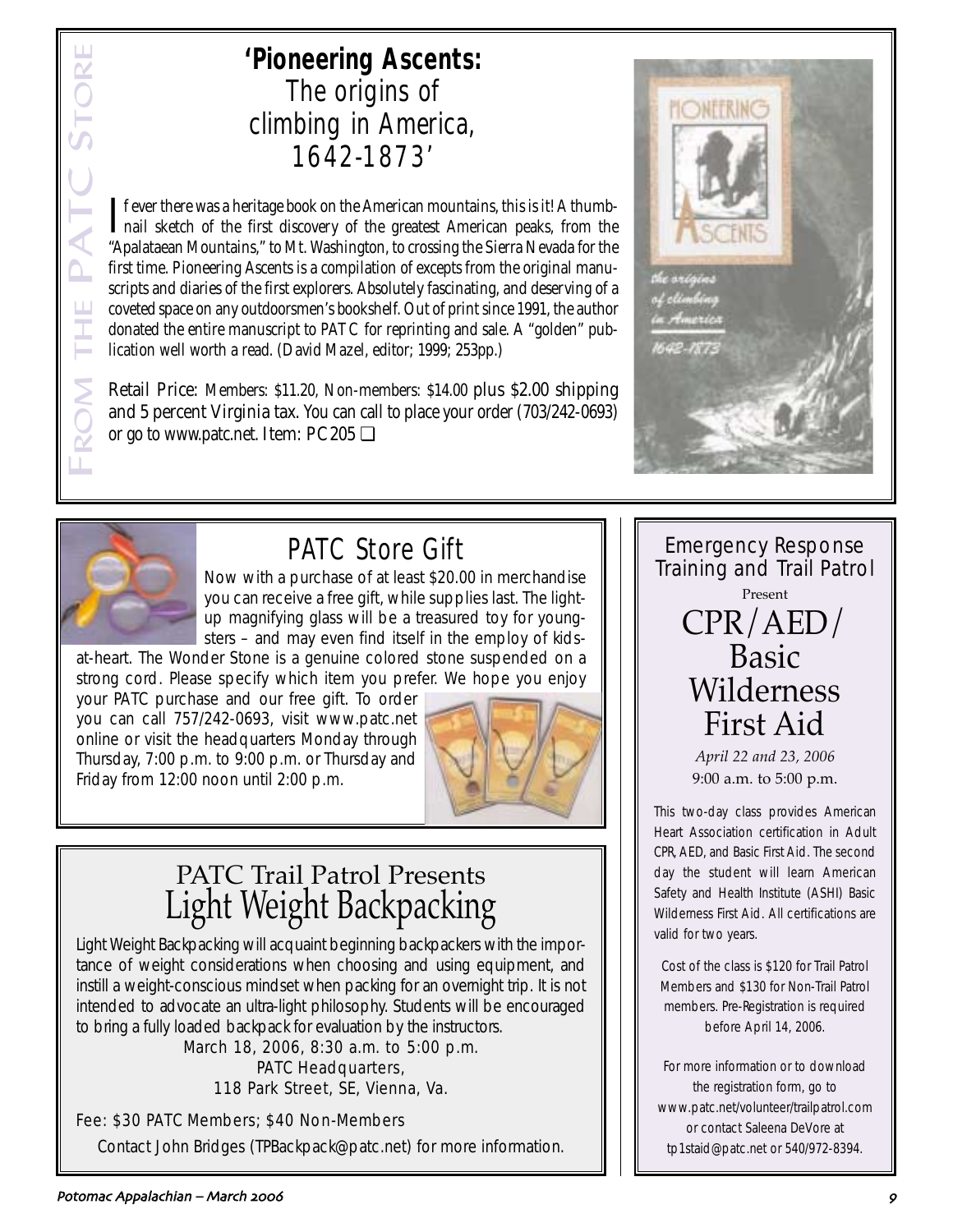# **'Pioneering Ascents:**  The origins of climbing in America, 1642-1873'

If ever there was a heritage book on the American mountains, this is it! A thumb-<br>mail sketch of the first discovery of the greatest American peaks, from the nail sketch of the first discovery of the greatest American peaks, from the "Apalataean Mountains," to Mt. Washington, to crossing the Sierra Nevada for the first time. Pioneering Ascents is a compilation of excepts from the original manuscripts and diaries of the first explorers. Absolutely fascinating, and deserving of a coveted space on any outdoorsmen's bookshelf. Out of print since 1991, the author donated the entire manuscript to PATC for reprinting and sale. A "golden" publication well worth a read. (David Mazel, editor; 1999; 253pp.)

Retail Price: Members: \$11.20, Non-members: \$14.00 plus \$2.00 shipping and 5 percent Virginia tax. You can call to place your order (703/242-0693) or go to www.patc.net. Item: PC205 ❏





# PATC Store Gift

Now with a purchase of at least \$20.00 in merchandise you can receive a free gift, while supplies last. The lightup magnifying glass will be a treasured toy for youngsters – and may even find itself in the employ of kids-

at-heart. The Wonder Stone is a genuine colored stone suspended on a strong cord. Please specify which item you prefer. We hope you enjoy

your PATC purchase and our free gift. To order you can call 757/242-0693, visit www.patc.net online or visit the headquarters Monday through Thursday, 7:00 p.m. to 9:00 p.m. or Thursday and Friday from 12:00 noon until 2:00 p.m.



# PATC Trail Patrol Presents Light Weight Backpacking

Light Weight Backpacking will acquaint beginning backpackers with the importance of weight considerations when choosing and using equipment, and instill a weight-conscious mindset when packing for an overnight trip. It is not intended to advocate an ultra-light philosophy. Students will be encouraged to bring a fully loaded backpack for evaluation by the instructors.

> March 18, 2006, 8:30 a.m. to 5:00 p.m. PATC Headquarters, 118 Park Street, SE, Vienna, Va.

## Fee: \$30 PATC Members; \$40 Non-Members Contact John Bridges (TPBackpack@patc.net) for more information.

Emergency Response Training and Trail Patrol Present CPR/AED/ Basic Wilderness First Aid

> *April 22 and 23, 2006* 9:00 a.m. to 5:00 p.m.

This two-day class provides American Heart Association certification in Adult CPR, AED, and Basic First Aid. The second day the student will learn American Safety and Health Institute (ASHI) Basic Wilderness First Aid. All certifications are valid for two years.

Cost of the class is \$120 for Trail Patrol Members and \$130 for Non-Trail Patrol members. Pre-Registration is required before April 14, 2006.

For more information or to download the registration form, go to www.patc.net/volunteer/trailpatrol.com or contact Saleena DeVore at tp1staid@patc.net or 540/972-8394.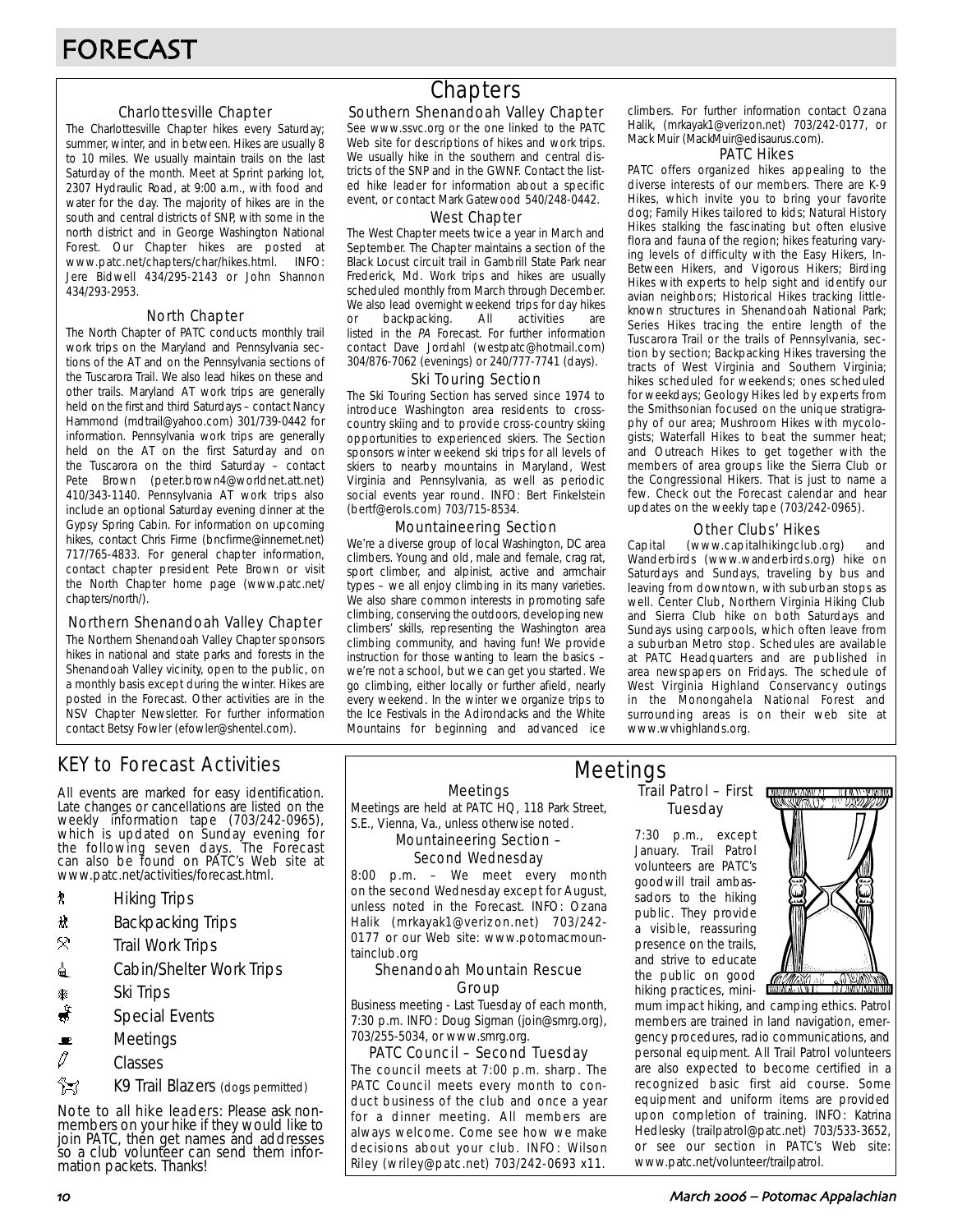### Charlottesville Chapter

The Charlottesville Chapter hikes every Saturday; summer, winter, and in between. Hikes are usually 8 to 10 miles. We usually maintain trails on the last Saturday of the month. Meet at Sprint parking lot, 2307 Hydraulic Road, at 9:00 a.m., with food and water for the day. The majority of hikes are in the south and central districts of SNP, with some in the north district and in George Washington National Forest. Our Chapter hikes are posted at www.patc.net/chapters/char/hikes.html. INFO: Jere Bidwell 434/295-2143 or John Shannon 434/293-2953.

### North Chapter

The North Chapter of PATC conducts monthly trail work trips on the Maryland and Pennsylvania sections of the AT and on the Pennsylvania sections of the Tuscarora Trail. We also lead hikes on these and other trails. Maryland AT work trips are generally held on the first and third Saturdays – contact Nancy Hammond (mdtrail@yahoo.com) 301/739-0442 for information. Pennsylvania work trips are generally held on the AT on the first Saturday and on the Tuscarora on the third Saturday – contact Pete Brown (peter.brown4@worldnet.att.net) 410/343-1140. Pennsylvania AT work trips also include an optional Saturday evening dinner at the Gypsy Spring Cabin. For information on upcoming hikes, contact Chris Firme (bncfirme@innernet.net) 717/765-4833. For general chapter information, contact chapter president Pete Brown or visit the North Chapter home page (www.patc.net/ chapters/north/).

### Northern Shenandoah Valley Chapter

The Northern Shenandoah Valley Chapter sponsors hikes in national and state parks and forests in the Shenandoah Valley vicinity, open to the public, on a monthly basis except during the winter. Hikes are posted in the Forecast. Other activities are in the NSV Chapter Newsletter. For further information contact Betsy Fowler (efowler@shentel.com).

## KEY to Forecast Activities

All events are marked for easy identification. Late changes or cancellations are listed on the weekly information tape (703/242-0965), which is updated on Sunday evening for the following seven days. The Forecast can also be found on PATC's Web site at www.patc.net/activities/forecast.html.

- **\*** Hiking Trips
- \* Backpacking Trips
- $\mathcal{R}$  Trail Work Trips
- **i** Cabin/Shelter Work Trips
- **A** Ski Trips
- Special Events
- $\blacksquare$  Meetings
- $\varnothing$  Classes

**Z** K9 Trail Blazers (dogs permitted)

Note to all hike leaders: Please ask nonmembers on your hike if they would like to join PATC, then get names and addresses so a club volunteer can send them information packets. Thanks!

# **Chapters**

### Southern Shenandoah Valley Chapter

See www.ssvc.org or the one linked to the PATC Web site for descriptions of hikes and work trips. We usually hike in the southern and central districts of the SNP and in the GWNF. Contact the listed hike leader for information about a specific event, or contact Mark Gatewood 540/248-0442.

#### West Chapter

The West Chapter meets twice a year in March and September. The Chapter maintains a section of the Black Locust circuit trail in Gambrill State Park near Frederick, Md. Work trips and hikes are usually scheduled monthly from March through December. We also lead overnight weekend trips for day hikes or backpacking. All activities are listed in the PA Forecast. For further information contact Dave Jordahl (westpatc@hotmail.com) 304/876-7062 (evenings) or 240/777-7741 (days).

#### Ski Touring Section

The Ski Touring Section has served since 1974 to introduce Washington area residents to crosscountry skiing and to provide cross-country skiing opportunities to experienced skiers. The Section sponsors winter weekend ski trips for all levels of skiers to nearby mountains in Maryland, West Virginia and Pennsylvania, as well as periodic social events year round. INFO: Bert Finkelstein (bertf@erols.com) 703/715-8534.

### Mountaineering Section

We're a diverse group of local Washington, DC area climbers. Young and old, male and female, crag rat, sport climber, and alpinist, active and armchair types – we all enjoy climbing in its many varieties. We also share common interests in promoting safe climbing, conserving the outdoors, developing new climbers' skills, representing the Washington area climbing community, and having fun! We provide instruction for those wanting to learn the basics – we're not a school, but we can get you started. We go climbing, either locally or further afield, nearly every weekend. In the winter we organize trips to the Ice Festivals in the Adirondacks and the White Mountains for beginning and advanced ice

climbers. For further information contact Ozana Halik, (mrkayak1@verizon.net) 703/242-0177, or Mack Muir (MackMuir@edisaurus.com).

#### PATC Hikes

PATC offers organized hikes appealing to the diverse interests of our members. There are K-9 Hikes, which invite you to bring your favorite dog; Family Hikes tailored to kids; Natural History Hikes stalking the fascinating but often elusive flora and fauna of the region; hikes featuring varying levels of difficulty with the Easy Hikers, In-Between Hikers, and Vigorous Hikers; Birding Hikes with experts to help sight and identify our avian neighbors; Historical Hikes tracking littleknown structures in Shenandoah National Park; Series Hikes tracing the entire length of the Tuscarora Trail or the trails of Pennsylvania, section by section; Backpacking Hikes traversing the tracts of West Virginia and Southern Virginia; hikes scheduled for weekends; ones scheduled for weekdays; Geology Hikes led by experts from the Smithsonian focused on the unique stratigraphy of our area; Mushroom Hikes with mycologists; Waterfall Hikes to beat the summer heat; and Outreach Hikes to get together with the members of area groups like the Sierra Club or the Congressional Hikers. That is just to name a few. Check out the Forecast calendar and hear updates on the weekly tape (703/242-0965).

### Other Clubs' Hikes

Capital (www.capitalhikingclub.org) and Wanderbirds (www.wanderbirds.org) hike on Saturdays and Sundays, traveling by bus and leaving from downtown, with suburban stops as well. Center Club, Northern Virginia Hiking Club and Sierra Club hike on both Saturdays and Sundays using carpools, which often leave from a suburban Metro stop. Schedules are available at PATC Headquarters and are published in area newspapers on Fridays. The schedule of West Virginia Highland Conservancy outings in the Monongahela National Forest and surrounding areas is on their web site at www.wvhighlands.org.

Meetings

Meetings are held at PATC HQ, 118 Park Street, S.E., Vienna, Va., unless otherwise noted.

#### Mountaineering Section – Second Wednesday

8:00 p.m. – We meet every month on the second Wednesday except for August, unless noted in the Forecast. INFO: Ozana Halik (mrkayak1@verizon.net) 703/242- 0177 or our Web site: www.potomacmountainclub.org

#### Shenandoah Mountain Rescue Group

Business meeting - Last Tuesday of each month, 7:30 p.m. INFO: Doug Sigman (join@smrg.org), 703/255-5034, or www.smrg.org.

### PATC Council – Second Tuesday

The council meets at 7:00 p.m. sharp. The PATC Council meets every month to conduct business of the club and once a year for a dinner meeting. All members are always welcome. Come see how we make decisions about your club. INFO: Wilson Riley (wriley@patc.net) 703/242-0693 x11.

### Trail Patrol – First Tuesday Meetings

7:30 p.m., except January. Trail Patrol volunteers are PATC's goodwill trail ambassadors to the hiking public. They provide a visible, reassuring presence on the trails, and strive to educate the public on good hiking practices, mini-



mum impact hiking, and camping ethics. Patrol members are trained in land navigation, emergency procedures, radio communications, and personal equipment. All Trail Patrol volunteers are also expected to become certified in a recognized basic first aid course. Some equipment and uniform items are provided upon completion of training. INFO: Katrina Hedlesky (trailpatrol@patc.net) 703/533-3652, or see our section in PATC's Web site: www.patc.net/volunteer/trailpatrol.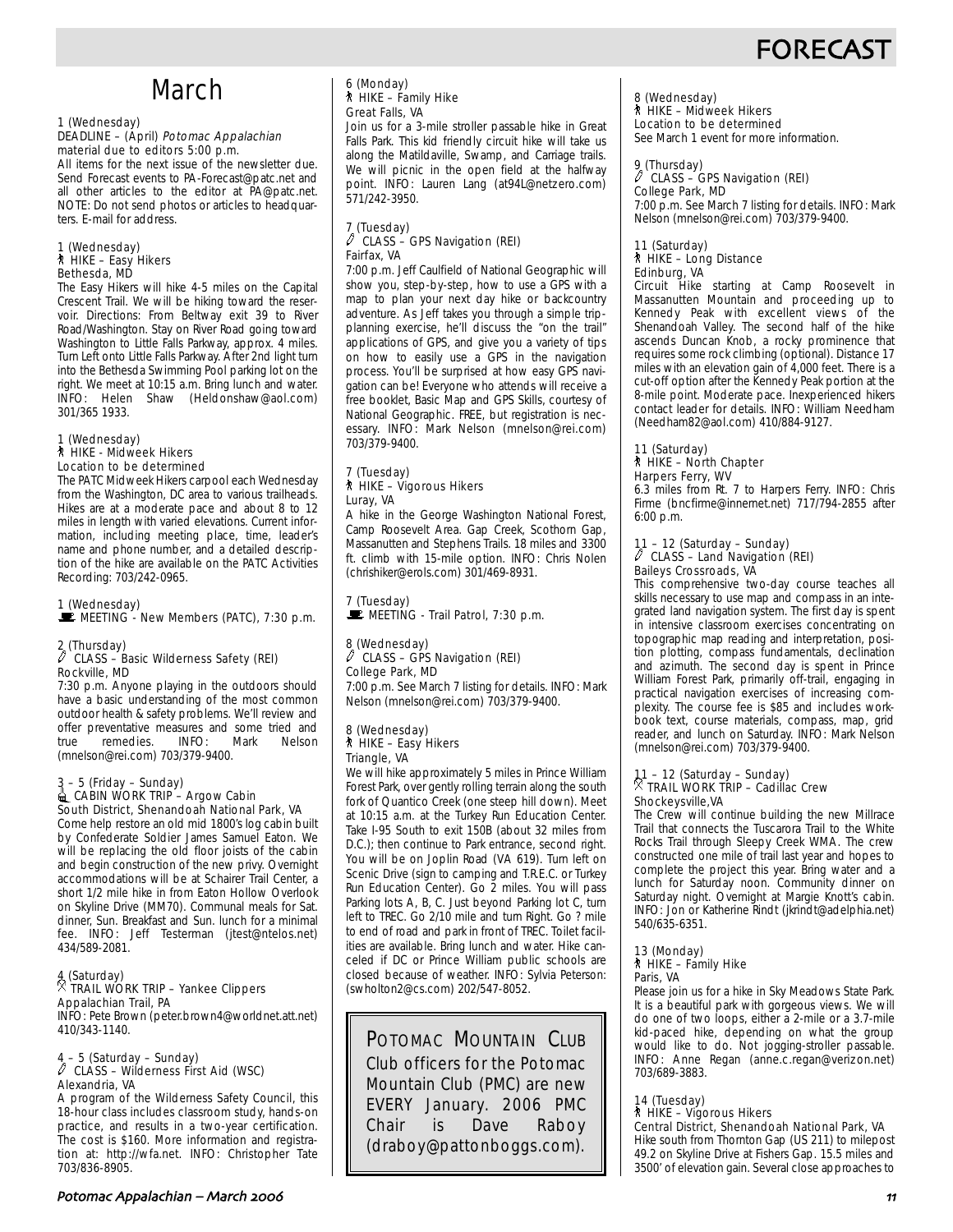# **FORECAS**

# March

#### 1 (Wednesday) DEADLINE - (April) Potomac Appalachian material due to editors 5:00 p.m.

All items for the next issue of the newsletter due. Send Forecast events to PA-Forecast@patc.net and all other articles to the editor at PA@patc.net. NOTE: Do not send photos or articles to headquarters. E-mail for address.

## 1 (Wednesday) ` HIKE – Easy Hikers Bethesda, MD

The Easy Hikers will hike 4-5 miles on the Capital Crescent Trail. We will be hiking toward the reservoir. Directions: From Beltway exit 39 to River Road/Washington. Stay on River Road going toward Washington to Little Falls Parkway, approx. 4 miles. Turn Left onto Little Falls Parkway. After 2nd light turn into the Bethesda Swimming Pool parking lot on the right. We meet at 10:15 a.m. Bring lunch and water. INFO: Helen Shaw (Heldonshaw@aol.com) 301/365 1933.

#### 1 (Wednesday) ` HIKE - Midweek Hikers Location to be determined

The PATC Midweek Hikers carpool each Wednesday from the Washington, DC area to various trailheads. Hikes are at a moderate pace and about 8 to 12 miles in length with varied elevations. Current information, including meeting place, time, leader's name and phone number, and a detailed description of the hike are available on the PATC Activities Recording: 703/242-0965.

1 (Wednesday) \MEETING - New Members (PATC), 7:30 p.m.

### 2 (Thursday) a CLASS – Basic Wilderness Safety (REI) Rockville, MD

7:30 p.m. Anyone playing in the outdoors should have a basic understanding of the most common outdoor health & safety problems. We'll review and offer preventative measures and some tried and<br>true remedies. INFO: Mark Nelson true remedies. INFO: Mark Nelson (mnelson@rei.com) 703/379-9400.

#### 3 – 5 (Friday – Sunday)  $\triangleq$  CABIN WORK TRIP – Argow Cabin South District, Shenandoah National Park, VA

Come help restore an old mid 1800's log cabin built by Confederate Soldier James Samuel Eaton. We will be replacing the old floor joists of the cabin and begin construction of the new privy. Overnight accommodations will be at Schairer Trail Center, a short 1/2 mile hike in from Eaton Hollow Overlook on Skyline Drive (MM70). Communal meals for Sat. dinner, Sun. Breakfast and Sun. lunch for a minimal fee. INFO: Jeff Testerman (jtest@ntelos.net) 434/589-2081.

## 4 (Saturday) . TRAIL WORK TRIP – Yankee Clippers Appalachian Trail, PA

INFO: Pete Brown (peter.brown4@worldnet.att.net) 410/343-1140.

## 4 – 5 (Saturday – Sunday) a CLASS – Wilderness First Aid (WSC) Alexandria, VA

A program of the Wilderness Safety Council, this 18-hour class includes classroom study, hands-on practice, and results in a two-year certification. The cost is \$160. More information and registration at: http://wfa.net. INFO: Christopher Tate 703/836-8905.

## Potomac Appalachian – March #\$\$% <sup>33</sup>

#### 6 (Monday) ` HIKE – Family Hike Great Falls, VA

Join us for a 3-mile stroller passable hike in Great Falls Park. This kid friendly circuit hike will take us along the Matildaville, Swamp, and Carriage trails. We will picnic in the open field at the halfway point. INFO: Lauren Lang (at94L@netzero.com) 571/242-3950.

## 7 (Tuesday) a CLASS – GPS Navigation (REI) Fairfax, VA

7:00 p.m. Jeff Caulfield of National Geographic will show you, step-by-step, how to use a GPS with a map to plan your next day hike or backcountry adventure. As Jeff takes you through a simple tripplanning exercise, he'll discuss the "on the trail" applications of GPS, and give you a variety of tips on how to easily use a GPS in the navigation process. You'll be surprised at how easy GPS navigation can be! Everyone who attends will receive a free booklet, Basic Map and GPS Skills, courtesy of National Geographic. FREE, but registration is necessary. INFO: Mark Nelson (mnelson@rei.com) 703/379-9400.

## 7 (Tuesday) ` HIKE – Vigorous Hikers Luray, VA

A hike in the George Washington National Forest, Camp Roosevelt Area. Gap Creek, Scothorn Gap, Massanutten and Stephens Trails. 18 miles and 3300 ft. climb with 15-mile option. INFO: Chris Nolen (chrishiker@erols.com) 301/469-8931.

# 7 (Tuesday)<br>■ MEETING - Trail Patrol, 7:30 p.m.

#### 8 (Wednesday) CLASS - GPS Navigation (REI) College Park, MD

7:00 p.m. See March 7 listing for details. INFO: Mark Nelson (mnelson@rei.com) 703/379-9400.

#### 8 (Wednesday) ` HIKE – Easy Hikers Triangle, VA

We will hike approximately 5 miles in Prince William Forest Park, over gently rolling terrain along the south fork of Quantico Creek (one steep hill down). Meet at 10:15 a.m. at the Turkey Run Education Center. Take I-95 South to exit 150B (about 32 miles from D.C.); then continue to Park entrance, second right. You will be on Joplin Road (VA 619). Turn left on Scenic Drive (sign to camping and T.R.E.C. or Turkey Run Education Center). Go 2 miles. You will pass Parking lots A, B, C. Just beyond Parking lot C, turn left to TREC. Go 2/10 mile and turn Right. Go ? mile to end of road and park in front of TREC. Toilet facilities are available. Bring lunch and water. Hike canceled if DC or Prince William public schools are closed because of weather. INFO: Sylvia Peterson: (swholton2@cs.com) 202/547-8052.

POTOMAC MOUNTAIN CLUB Club officers for the Potomac Mountain Club (PMC) are new EVERY January. 2006 PMC Chair is Dave Raboy (draboy@pattonboggs.com).

8 (Wednesday) ` HIKE – Midweek Hikers

Location to be determined

See March 1 event for more information.

# 9 (Thursday) a CLASS – GPS Navigation (REI)

College Park, MD 7:00 p.m. See March 7 listing for details. INFO: Mark Nelson (mnelson@rei.com) 703/379-9400.

#### 11 (Saturday) ` HIKE – Long Distance Edinburg, VA

Circuit Hike starting at Camp Roosevelt in Massanutten Mountain and proceeding up to Kennedy Peak with excellent views of the Shenandoah Valley. The second half of the hike ascends Duncan Knob, a rocky prominence that requires some rock climbing (optional). Distance 17 miles with an elevation gain of 4,000 feet. There is a cut-off option after the Kennedy Peak portion at the 8-mile point. Moderate pace. Inexperienced hikers contact leader for details. INFO: William Needham (Needham82@aol.com) 410/884-9127.

#### 11 (Saturday) ` HIKE – North Chapter Harpers Ferry, WV

6.3 miles from Rt. 7 to Harpers Ferry. INFO: Chris Firme (bncfirme@innernet.net) 717/794-2855 after 6:00 p.m.

## 11 – 12 (Saturday – Sunday) a CLASS – Land Navigation (REI) Baileys Crossroads, VA

This comprehensive two-day course teaches all skills necessary to use map and compass in an integrated land navigation system. The first day is spent in intensive classroom exercises concentrating on topographic map reading and interpretation, position plotting, compass fundamentals, declination and azimuth. The second day is spent in Prince William Forest Park, primarily off-trail, engaging in practical navigation exercises of increasing complexity. The course fee is \$85 and includes workbook text, course materials, compass, map, grid reader, and lunch on Saturday. INFO: Mark Nelson (mnelson@rei.com) 703/379-9400.

## 11 – 12 (Saturday – Sunday) . TRAIL WORK TRIP – Cadillac Crew Shockeysville,VA

The Crew will continue building the new Millrace Trail that connects the Tuscarora Trail to the White Rocks Trail through Sleepy Creek WMA. The crew constructed one mile of trail last year and hopes to complete the project this year. Bring water and a lunch for Saturday noon. Community dinner on Saturday night. Overnight at Margie Knott's cabin. INFO: Jon or Katherine Rindt (jkrindt@adelphia.net) 540/635-6351.

#### 13 (Monday)

` HIKE – Family Hike Paris, VA

Please join us for a hike in Sky Meadows State Park. It is a beautiful park with gorgeous views. We will do one of two loops, either a 2-mile or a 3.7-mile kid-paced hike, depending on what the group would like to do. Not jogging-stroller passable. INFO: Anne Regan (anne.c.regan@verizon.net) 703/689-3883.

#### 14 (Tuesday)

## ` HIKE – Vigorous Hikers

Central District, Shenandoah National Park, VA Hike south from Thornton Gap (US 211) to milepost 49.2 on Skyline Drive at Fishers Gap. 15.5 miles and 3500' of elevation gain. Several close approaches to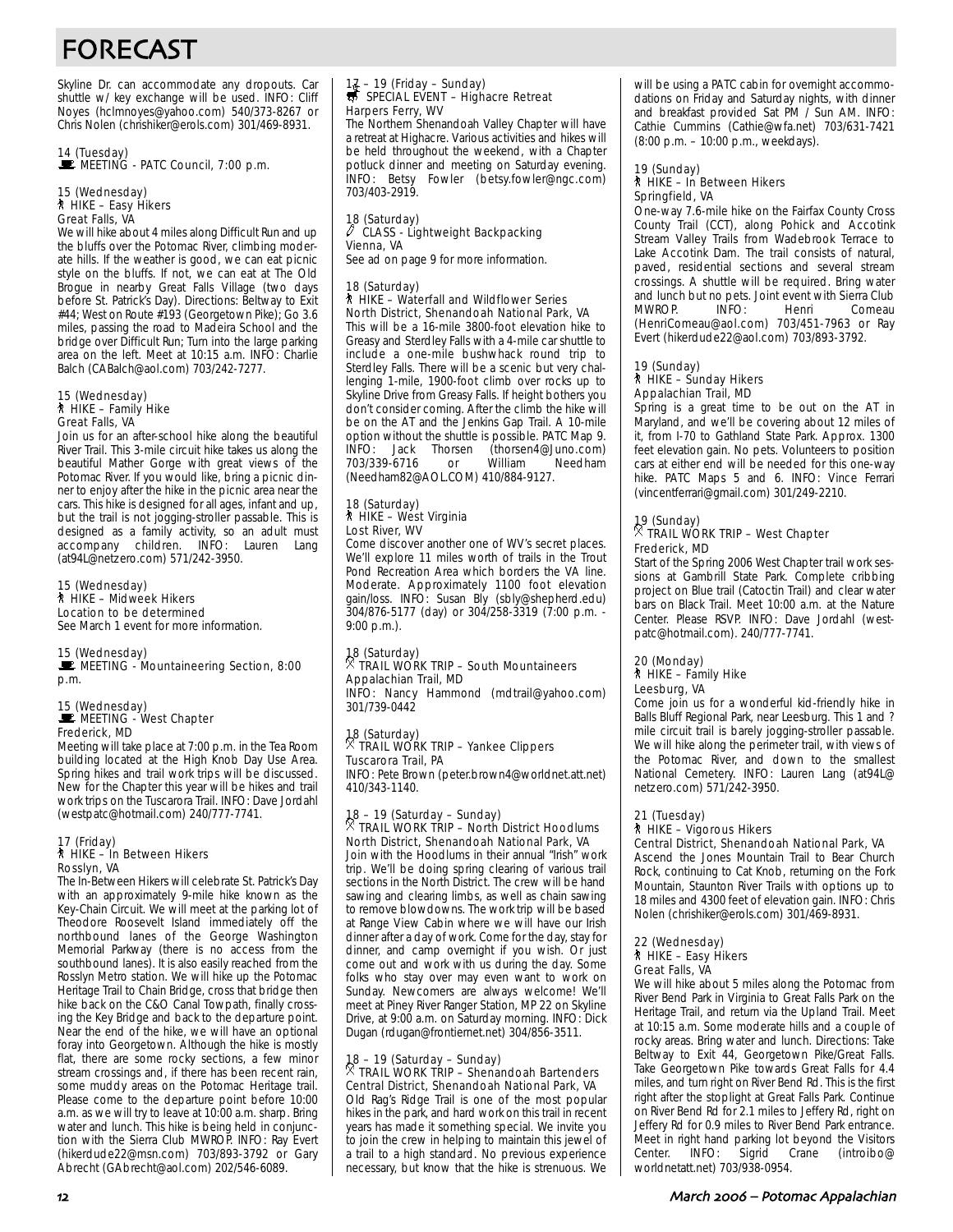# FORECAST

Skyline Dr. can accommodate any dropouts. Car shuttle w/ key exchange will be used. INFO: Cliff Noyes (hclmnoyes@yahoo.com) 540/373-8267 or Chris Nolen (chrishiker@erols.com) 301/469-8931.

# 14 (Tuesday)<br>■ MEETING - PATC Council, 7:00 p.m.

#### 15 (Wednesday) ` HIKE – Easy Hikers Great Falls, VA

We will hike about 4 miles along Difficult Run and up the bluffs over the Potomac River, climbing moderate hills. If the weather is good, we can eat picnic style on the bluffs. If not, we can eat at The Old Brogue in nearby Great Falls Village (two days before St. Patrick's Day). Directions: Beltway to Exit #44; West on Route #193 (Georgetown Pike); Go 3.6 miles, passing the road to Madeira School and the bridge over Difficult Run; Turn into the large parking area on the left. Meet at 10:15 a.m. INFO: Charlie Balch (CABalch@aol.com) 703/242-7277.

## 15 (Wednesday)<br>┆ HIKE – Family Hike Great Falls, VA

Join us for an after-school hike along the beautiful River Trail. This 3-mile circuit hike takes us along the beautiful Mather Gorge with great views of the Potomac River. If you would like, bring a picnic dinner to enjoy after the hike in the picnic area near the cars. This hike is designed for all ages, infant and up, but the trail is not jogging-stroller passable. This is designed as a family activity, so an adult must accompany children. INFO: Lauren Lang (at94L@netzero.com) 571/242-3950.

15 (Wednesday) ` HIKE – Midweek Hikers Location to be determined See March 1 event for more information.

#### 15 (Wednesday)

MEETING - Mountaineering Section, 8:00 p.m.

#### 15 (Wednesday)  $\mathbf{E}$  MEETING - West Chapter Frederick, MD

Meeting will take place at 7:00 p.m. in the Tea Room building located at the High Knob Day Use Area. Spring hikes and trail work trips will be discussed. New for the Chapter this year will be hikes and trail work trips on the Tuscarora Trail. INFO: Dave Jordahl (westpatc@hotmail.com) 240/777-7741.

#### 17 (Friday) ` HIKE – In Between Hikers Rosslyn, VA

The In-Between Hikers will celebrate St. Patrick's Day with an approximately 9-mile hike known as the Key-Chain Circuit. We will meet at the parking lot of Theodore Roosevelt Island immediately off the northbound lanes of the George Washington Memorial Parkway (there is no access from the southbound lanes). It is also easily reached from the Rosslyn Metro station. We will hike up the Potomac Heritage Trail to Chain Bridge, cross that bridge then hike back on the C&O Canal Towpath, finally crossing the Key Bridge and back to the departure point. Near the end of the hike, we will have an optional foray into Georgetown. Although the hike is mostly flat, there are some rocky sections, a few minor stream crossings and, if there has been recent rain, some muddy areas on the Potomac Heritage trail. Please come to the departure point before 10:00 a.m. as we will try to leave at 10:00 a.m. sharp. Bring water and lunch. This hike is being held in conjunction with the Sierra Club MWROP. INFO: Ray Evert (hikerdude22@msn.com) 703/893-3792 or Gary Abrecht (GAbrecht@aol.com) 202/546-6089.

## 17 – 19 (Friday – Sunday)<br>
SPECIAL EVENT – Highacre Retreat Harpers Ferry, WV

The Northern Shenandoah Valley Chapter will have a retreat at Highacre. Various activities and hikes will be held throughout the weekend, with a Chapter potluck dinner and meeting on Saturday evening. INFO: Betsy Fowler (betsy.fowler@ngc.com) 703/403-2919.

#### 18 (Saturday) CLASS - Lightweight Backpacking Vienna, VA

See ad on page 9 for more information.

#### 18 (Saturday) ` HIKE – Waterfall and Wildflower Series

North District, Shenandoah National Park, VA This will be a 16-mile 3800-foot elevation hike to Greasy and Sterdley Falls with a 4-mile car shuttle to include a one-mile bushwhack round trip to Sterdley Falls. There will be a scenic but very challenging 1-mile, 1900-foot climb over rocks up to Skyline Drive from Greasy Falls. If height bothers you don't consider coming. After the climb the hike will be on the AT and the Jenkins Gap Trail. A 10-mile option without the shuttle is possible. PATC Map 9. INFO: Jack Thorsen (thorsen4@Juno.com)<br>703/339-6716 or William Needham 703/339-6716 or (Needham82@AOL.COM) 410/884-9127.

#### 18 (Saturday) ` HIKE – West Virginia Lost River, WV

Come discover another one of WV's secret places. We'll explore 11 miles worth of trails in the Trout Pond Recreation Area which borders the VA line. Moderate. Approximately 1100 foot elevation gain/loss. INFO: Susan Bly (sbly@shepherd.edu) 304/876-5177 (day) or 304/258-3319 (7:00 p.m. - 9:00 p.m.).

## 18 (Saturday) . TRAIL WORK TRIP – South Mountaineers Appalachian Trail, MD

INFO: Nancy Hammond (mdtrail@yahoo.com) 301/739-0442

# 18 (Saturday) . TRAIL WORK TRIP – Yankee Clippers Tuscarora Trail, PA

INFO: Pete Brown (peter.brown4@worldnet.att.net) 410/343-1140.

### 18 – 19 (Saturday – Sunday) . TRAIL WORK TRIP – North District Hoodlums North District, Shenandoah National Park, VA

Join with the Hoodlums in their annual "Irish" work trip. We'll be doing spring clearing of various trail sections in the North District. The crew will be hand sawing and clearing limbs, as well as chain sawing to remove blowdowns. The work trip will be based at Range View Cabin where we will have our Irish dinner after a day of work. Come for the day, stay for dinner, and camp overnight if you wish. Or just come out and work with us during the day. Some folks who stay over may even want to work on Sunday. Newcomers are always welcome! We'll meet at Piney River Ranger Station, MP 22 on Skyline Drive, at 9:00 a.m. on Saturday morning. INFO: Dick Dugan (rdugan@frontiernet.net) 304/856-3511.

## 18 – 19 (Saturday – Sunday) . TRAIL WORK TRIP – Shenandoah Bartenders Central District, Shenandoah National Park, VA

Old Rag's Ridge Trail is one of the most popular hikes in the park, and hard work on this trail in recent years has made it something special. We invite you to join the crew in helping to maintain this jewel of a trail to a high standard. No previous experience necessary, but know that the hike is strenuous. We will be using a PATC cabin for overnight accommodations on Friday and Saturday nights, with dinner and breakfast provided Sat PM / Sun AM. INFO: Cathie Cummins (Cathie@wfa.net) 703/631-7421 (8:00 p.m. – 10:00 p.m., weekdays).

#### 19 (Sunday) **A** HIKE – In Between Hikers Springfield, VA

One-way 7.6-mile hike on the Fairfax County Cross County Trail (CCT), along Pohick and Accotink Stream Valley Trails from Wadebrook Terrace to Lake Accotink Dam. The trail consists of natural, paved, residential sections and several stream crossings. A shuttle will be required. Bring water and lunch but no pets. Joint event with Sierra Club<br>MWROP. INFO: Henri Comeau Henri Comeau (HenriComeau@aol.com) 703/451-7963 or Ray Evert (hikerdude22@aol.com) 703/893-3792.

#### 19 (Sunday) ` HIKE – Sunday Hikers Appalachian Trail, MD

Spring is a great time to be out on the AT in Maryland, and we'll be covering about 12 miles of it, from I-70 to Gathland State Park. Approx. 1300 feet elevation gain. No pets. Volunteers to position cars at either end will be needed for this one-way hike. PATC Maps 5 and 6. INFO: Vince Ferrari (vincentferrari@gmail.com) 301/249-2210.

## 19 (Sunday) . TRAIL WORK TRIP – West Chapter Frederick, MD

Start of the Spring 2006 West Chapter trail work sessions at Gambrill State Park. Complete cribbing project on Blue trail (Catoctin Trail) and clear water bars on Black Trail. Meet 10:00 a.m. at the Nature Center. Please RSVP. INFO: Dave Jordahl (westpatc@hotmail.com). 240/777-7741.

#### 20 (Monday) ` HIKE – Family Hike Leesburg, VA

Come join us for a wonderful kid-friendly hike in Balls Bluff Regional Park, near Leesburg. This 1 and ? mile circuit trail is barely jogging-stroller passable. We will hike along the perimeter trail, with views of the Potomac River, and down to the smallest National Cemetery. INFO: Lauren Lang (at94L@ netzero.com) 571/242-3950.

#### 21 (Tuesday) ` HIKE – Vigorous Hikers

Central District, Shenandoah National Park, VA Ascend the Jones Mountain Trail to Bear Church Rock, continuing to Cat Knob, returning on the Fork Mountain, Staunton River Trails with options up to 18 miles and 4300 feet of elevation gain. INFO: Chris Nolen (chrishiker@erols.com) 301/469-8931.

#### 22 (Wednesday) ` HIKE – Easy Hikers Great Falls, VA

We will hike about 5 miles along the Potomac from River Bend Park in Virginia to Great Falls Park on the Heritage Trail, and return via the Upland Trail. Meet at 10:15 a.m. Some moderate hills and a couple of rocky areas. Bring water and lunch. Directions: Take Beltway to Exit 44, Georgetown Pike/Great Falls. Take Georgetown Pike towards Great Falls for 4.4 miles, and turn right on River Bend Rd. This is the first right after the stoplight at Great Falls Park. Continue on River Bend Rd for 2.1 miles to Jeffery Rd, right on Jeffery Rd for 0.9 miles to River Bend Park entrance. Meet in right hand parking lot beyond the Visitors Center. INFO: Sigrid Crane (introibo@ worldnetatt.net) 703/938-0954.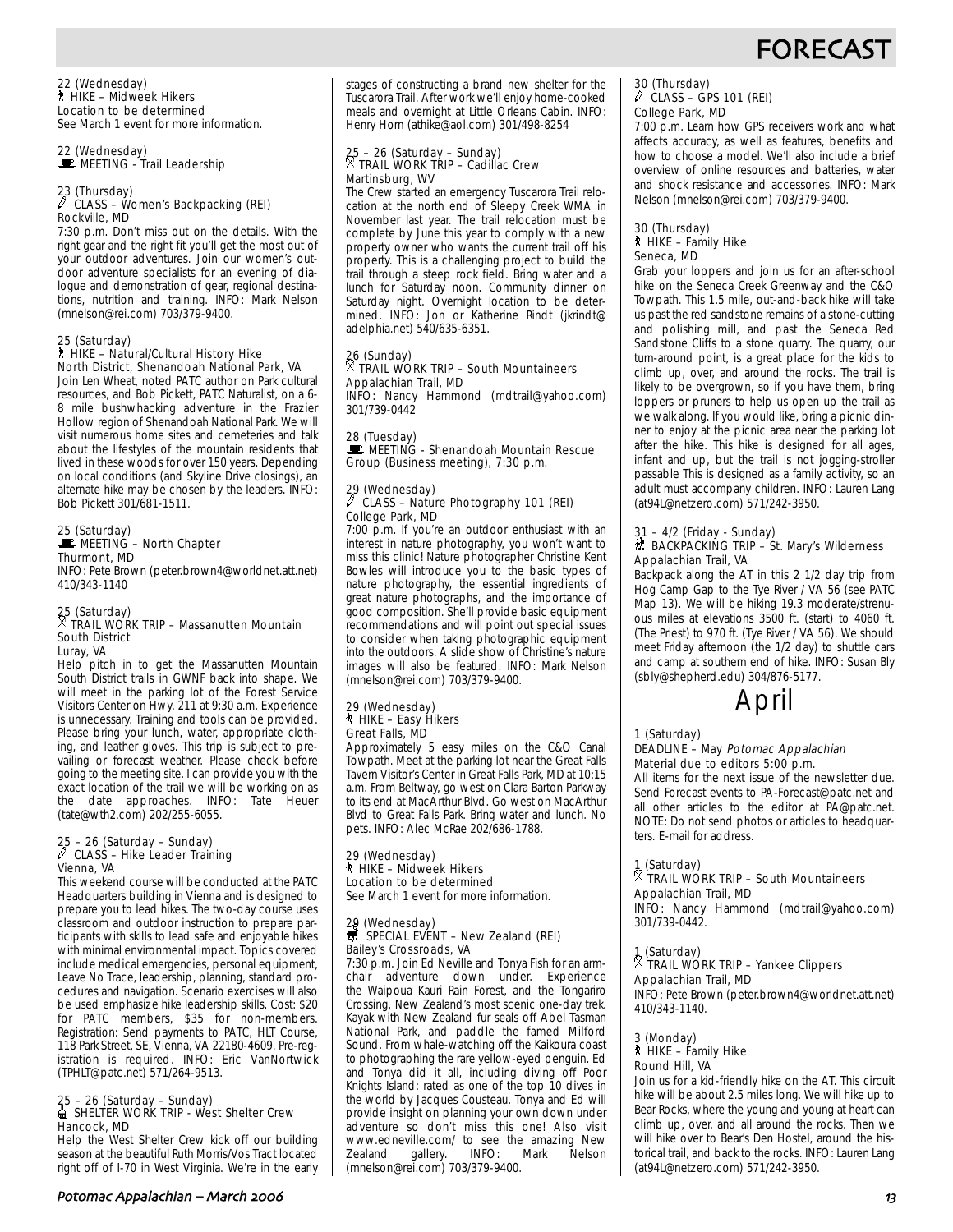# **FORECAS**

22 (Wednesday) ` HIKE – Midweek Hikers Location to be determined See March 1 event for more information.

22 (Wednesday)<br>■ MEETING - Trail Leadership

### 23 (Thursday) a CLASS – Women's Backpacking (REI) Rockville, MD

7:30 p.m. Don't miss out on the details. With the right gear and the right fit you'll get the most out of your outdoor adventures. Join our women's outdoor adventure specialists for an evening of dialogue and demonstration of gear, regional destinations, nutrition and training. INFO: Mark Nelson (mnelson@rei.com) 703/379-9400.

#### 25 (Saturday) ` HIKE – Natural/Cultural History Hike North District, Shenandoah National Park, VA

Join Len Wheat, noted PATC author on Park cultural resources, and Bob Pickett, PATC Naturalist, on a 6- 8 mile bushwhacking adventure in the Frazier Hollow region of Shenandoah National Park. We will visit numerous home sites and cemeteries and talk about the lifestyles of the mountain residents that lived in these woods for over 150 years. Depending on local conditions (and Skyline Drive closings), an alternate hike may be chosen by the leaders. INFO: Bob Pickett 301/681-1511.

## 25 (Saturday)<br>■ MEETING – North Chapter Thurmont, MD

INFO: Pete Brown (peter.brown4@worldnet.att.net) 410/343-1140

#### 25 (Saturday) . TRAIL WORK TRIP – Massanutten Mountain South District Luray, VA

Help pitch in to get the Massanutten Mountain South District trails in GWNF back into shape. We will meet in the parking lot of the Forest Service Visitors Center on Hwy. 211 at 9:30 a.m. Experience is unnecessary. Training and tools can be provided. Please bring your lunch, water, appropriate clothing, and leather gloves. This trip is subject to prevailing or forecast weather. Please check before going to the meeting site. I can provide you with the exact location of the trail we will be working on as<br>the date approaches. INFO: Tate Heuer the date approaches. INFO: Tate Heuer (tate@wth2.com) 202/255-6055.

### 25 – 26 (Saturday – Sunday) a CLASS – Hike Leader Training Vienna, VA

This weekend course will be conducted at the PATC Headquarters building in Vienna and is designed to prepare you to lead hikes. The two-day course uses classroom and outdoor instruction to prepare participants with skills to lead safe and enjoyable hikes with minimal environmental impact. Topics covered include medical emergencies, personal equipment, Leave No Trace, leadership, planning, standard procedures and navigation. Scenario exercises will also be used emphasize hike leadership skills. Cost: \$20 for PATC members, \$35 for non-members. Registration: Send payments to PATC, HLT Course, 118 Park Street, SE, Vienna, VA 22180-4609. Pre-registration is required. INFO: Eric VanNortwick (TPHLT@patc.net) 571/264-9513.

## 25 – 26 (Saturday – Sunday)<br>15 SHELTER WORK TRIP - West Shelter Crew Hancock, MD

Help the West Shelter Crew kick off our building season at the beautiful Ruth Morris/Vos Tract located right off of I-70 in West Virginia. We're in the early stages of constructing a brand new shelter for the Tuscarora Trail. After work we'll enjoy home-cooked meals and overnight at Little Orleans Cabin. INFO: Henry Horn (athike@aol.com) 301/498-8254

## 25 – 26 (Saturday – Sunday) . TRAIL WORK TRIP – Cadillac Crew Martinsburg, WV

The Crew started an emergency Tuscarora Trail relocation at the north end of Sleepy Creek WMA in November last year. The trail relocation must be complete by June this year to comply with a new property owner who wants the current trail off his property. This is a challenging project to build the trail through a steep rock field. Bring water and a lunch for Saturday noon. Community dinner on Saturday night. Overnight location to be determined. INFO: Jon or Katherine Rindt (jkrindt@ adelphia.net) 540/635-6351.

### 26 (Sunday) . TRAIL WORK TRIP – South Mountaineers Appalachian Trail, MD

INFO: Nancy Hammond (mdtrail@yahoo.com) 301/739-0442

28 (Tuesday)<br>■ MEETING - Shenandoah Mountain Rescue Group (Business meeting), 7:30 p.m.

# 29 (Wednesday)<br>
CLASS - Notice

#### a CLASS – Nature Photography 101 (REI) College Park, MD

7:00 p.m. If you're an outdoor enthusiast with an interest in nature photography, you won't want to miss this clinic! Nature photographer Christine Kent Bowles will introduce you to the basic types of nature photography, the essential ingredients of great nature photographs, and the importance of good composition. She'll provide basic equipment recommendations and will point out special issues to consider when taking photographic equipment into the outdoors. A slide show of Christine's nature images will also be featured. INFO: Mark Nelson (mnelson@rei.com) 703/379-9400.

#### 29 (Wednesday) ` HIKE – Easy Hikers Great Falls, MD

Approximately 5 easy miles on the C&O Canal Towpath. Meet at the parking lot near the Great Falls Tavern Visitor's Center in Great Falls Park, MD at 10:15 a.m. From Beltway, go west on Clara Barton Parkway to its end at MacArthur Blvd. Go west on MacArthur Blvd to Great Falls Park. Bring water and lunch. No pets. INFO: Alec McRae 202/686-1788.

#### 29 (Wednesday) ` HIKE – Midweek Hikers Location to be determined See March 1 event for more information.

## 29 (Wednesday)<br>第 SPECIAL EVENT – New Zealand (REI) Bailey's Crossroads, VA

7:30 p.m. Join Ed Neville and Tonya Fish for an armadventure down under. Experience the Waipoua Kauri Rain Forest, and the Tongariro Crossing, New Zealand's most scenic one-day trek. Kayak with New Zealand fur seals off Abel Tasman National Park, and paddle the famed Milford Sound. From whale-watching off the Kaikoura coast to photographing the rare yellow-eyed penguin. Ed and Tonya did it all, including diving off Poor Knights Island: rated as one of the top 10 dives in the world by Jacques Cousteau. Tonya and Ed will provide insight on planning your own down under adventure so don't miss this one! Also visit www.edneville.com/ to see the amazing New<br>Zealand gallery. INFO: Mark Nelson Zealand gallery. INFO: Mark Nelson (mnelson@rei.com) 703/379-9400.

## 30 (Thursday) a CLASS – GPS 101 (REI) College Park, MD

7:00 p.m. Learn how GPS receivers work and what affects accuracy, as well as features, benefits and how to choose a model. We'll also include a brief overview of online resources and batteries, water and shock resistance and accessories. INFO: Mark Nelson (mnelson@rei.com) 703/379-9400.

#### 30 (Thursday) ` HIKE – Family Hike Seneca, MD

Grab your loppers and join us for an after-school hike on the Seneca Creek Greenway and the C&O Towpath. This 1.5 mile, out-and-back hike will take us past the red sandstone remains of a stone-cutting and polishing mill, and past the Seneca Red Sandstone Cliffs to a stone quarry. The quarry, our turn-around point, is a great place for the kids to climb up, over, and around the rocks. The trail is likely to be overgrown, so if you have them, bring loppers or pruners to help us open up the trail as we walk along. If you would like, bring a picnic dinner to enjoy at the picnic area near the parking lot after the hike. This hike is designed for all ages, infant and up, but the trail is not jogging-stroller passable This is designed as a family activity, so an adult must accompany children. INFO: Lauren Lang (at94L@netzero.com) 571/242-3950.

#### 31 – 4/2 (Friday - Sunday) \* BACKPACKING TRIP – St. Mary's Wilderness Appalachian Trail, VA

Backpack along the AT in this 2 1/2 day trip from Hog Camp Gap to the Tye River / VA 56 (see PATC Map 13). We will be hiking 19.3 moderate/strenuous miles at elevations 3500 ft. (start) to 4060 ft. (The Priest) to 970 ft. (Tye River / VA 56). We should meet Friday afternoon (the 1/2 day) to shuttle cars and camp at southern end of hike. INFO: Susan Bly (sbly@shepherd.edu) 304/876-5177.



#### 1 (Saturday)

#### DEADLINE – May Potomac Appalachian Material due to editors 5:00 p.m.

All items for the next issue of the newsletter due. Send Forecast events to PA-Forecast@patc.net and all other articles to the editor at PA@patc.net. NOTE: Do not send photos or articles to headquarters. E-mail for address.

#### 1 (Saturday)

#### $^\times$  TRAIL WORK TRIP – South Mountaineers Appalachian Trail, MD

INFO: Nancy Hammond (mdtrail@yahoo.com) 301/739-0442.

#### 1 (Saturday)

#### $^\times$  TRAIL WORK TRIP – Yankee Clippers Appalachian Trail, MD

INFO: Pete Brown (peter.brown4@worldnet.att.net) 410/343-1140.

#### 3 (Monday) ` HIKE – Family Hike Round Hill, VA

Join us for a kid-friendly hike on the AT. This circuit hike will be about 2.5 miles long. We will hike up to Bear Rocks, where the young and young at heart can climb up, over, and all around the rocks. Then we will hike over to Bear's Den Hostel, around the historical trail, and back to the rocks. INFO: Lauren Lang (at94L@netzero.com) 571/242-3950.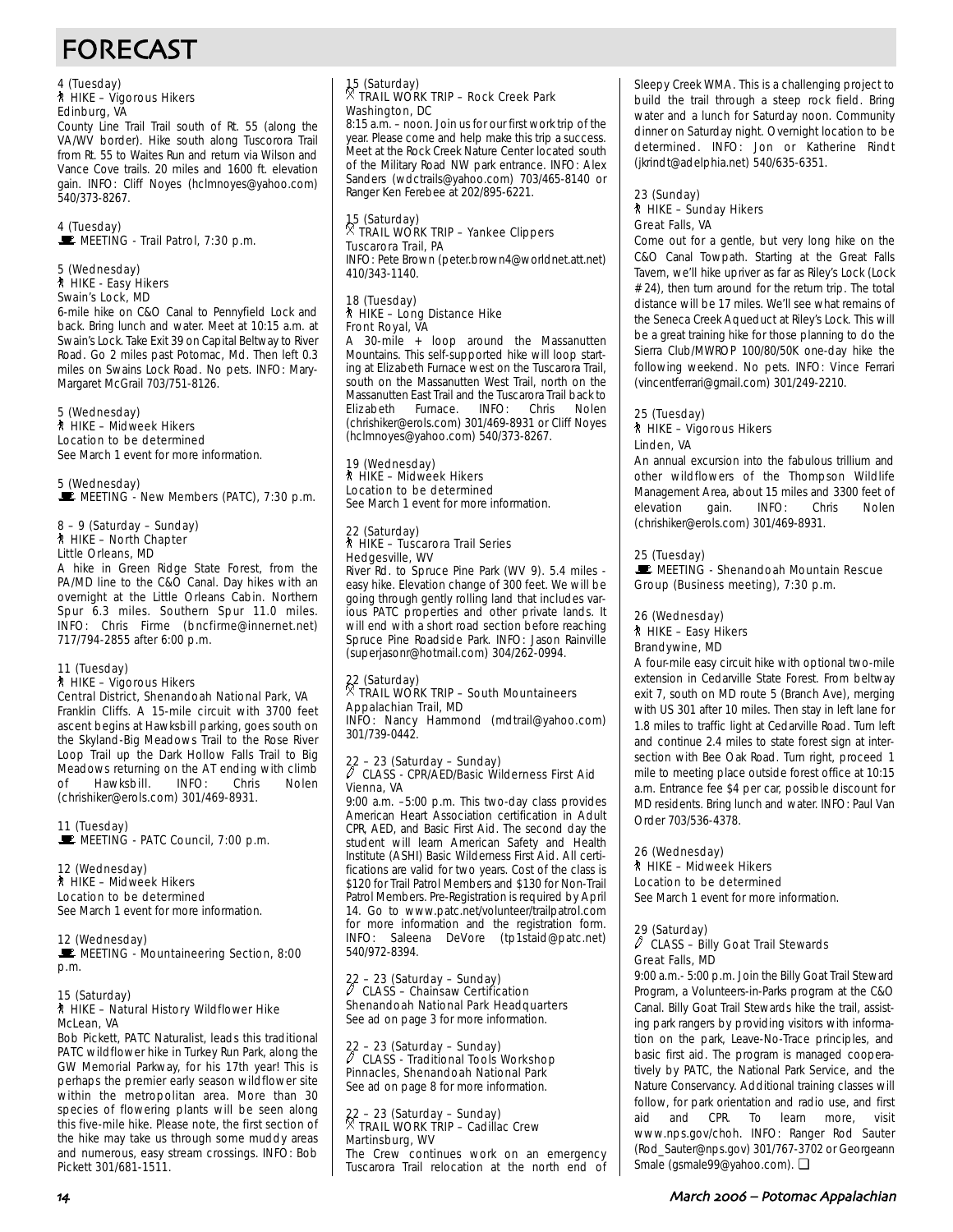# FORECAST

## 4 (Tuesday) ` HIKE – Vigorous Hikers Edinburg, VA

County Line Trail Trail south of Rt. 55 (along the VA/WV border). Hike south along Tuscorora Trail from Rt. 55 to Waites Run and return via Wilson and Vance Cove trails. 20 miles and 1600 ft. elevation gain. INFO: Cliff Noyes (hclmnoyes@yahoo.com) 540/373-8267.

#### 4 (Tuesday)  $\mathbf{\mathbf{\mathbf{\mathbb{E}}}}$  MEETING - Trail Patrol, 7:30 p.m.

#### 5 (Wednesday) ` HIKE - Easy Hikers Swain's Lock, MD

6-mile hike on C&O Canal to Pennyfield Lock and back. Bring lunch and water. Meet at 10:15 a.m. at Swain's Lock. Take Exit 39 on Capital Beltway to River Road. Go 2 miles past Potomac, Md. Then left 0.3 miles on Swains Lock Road. No pets. INFO: Mary-Margaret McGrail 703/751-8126.

#### 5 (Wednesday) ` HIKE – Midweek Hikers Location to be determined

See March 1 event for more information.

### 5 (Wednesday)  $\mathbf{\dot{F}}$  MEETING - New Members (PATC), 7:30 p.m.

## 8 – 9 (Saturday – Sunday) ` HIKE – North Chapter Little Orleans, MD

A hike in Green Ridge State Forest, from the PA/MD line to the C&O Canal. Day hikes with an overnight at the Little Orleans Cabin. Northern Spur 6.3 miles. Southern Spur 11.0 miles. INFO: Chris Firme (bncfirme@innernet.net) 717/794-2855 after 6:00 p.m.

### 11 (Tuesday)

## ` HIKE – Vigorous Hikers

Central District, Shenandoah National Park, VA Franklin Cliffs. A 15-mile circuit with 3700 feet ascent begins at Hawksbill parking, goes south on the Skyland-Big Meadows Trail to the Rose River Loop Trail up the Dark Hollow Falls Trail to Big Meadows returning on the AT ending with climb of Hawksbill. INFO: Chris Nolen (chrishiker@erols.com) 301/469-8931.

### 11 (Tuesday)

MEETING - PATC Council, 7:00 p.m.

### 12 (Wednesday)

` HIKE – Midweek Hikers Location to be determined

See March 1 event for more information.

#### 12 (Wednesday)

MEETING - Mountaineering Section, 8:00 p.m.

#### 15 (Saturday) ` HIKE – Natural History Wildflower Hike McLean, VA

Bob Pickett, PATC Naturalist, leads this traditional PATC wildflower hike in Turkey Run Park, along the GW Memorial Parkway, for his 17th year! This is perhaps the premier early season wildflower site within the metropolitan area. More than 30 species of flowering plants will be seen along this five-mile hike. Please note, the first section of the hike may take us through some muddy areas and numerous, easy stream crossings. INFO: Bob Pickett 301/681-1511.

## 15 (Saturday) . TRAIL WORK TRIP – Rock Creek Park Washington, DC

8:15 a.m. – noon. Join us for our first work trip of the year. Please come and help make this trip a success. Meet at the Rock Creek Nature Center located south of the Military Road NW park entrance. INFO: Alex Sanders (wdctrails@yahoo.com) 703/465-8140 or Ranger Ken Ferebee at 202/895-6221.

### 15 (Saturday) . TRAIL WORK TRIP – Yankee Clippers Tuscarora Trail, PA INFO: Pete Brown (peter.brown4@worldnet.att.net)

410/343-1140.

#### 18 (Tuesday) ` HIKE – Long Distance Hike Front Royal, VA

A 30-mile + loop around the Massanutten Mountains. This self-supported hike will loop starting at Elizabeth Furnace west on the Tuscarora Trail, south on the Massanutten West Trail, north on the Massanutten East Trail and the Tuscarora Trail back to Elizabeth Furnace. INFO: Chris Nolen (chrishiker@erols.com) 301/469-8931 or Cliff Noyes (hclmnoyes@yahoo.com) 540/373-8267.

#### 19 (Wednesday) ` HIKE – Midweek Hikers Location to be determined See March 1 event for more information.

#### 22 (Saturday) ` HIKE – Tuscarora Trail Series Hedgesville, WV

River Rd. to Spruce Pine Park (WV 9). 5.4 miles easy hike. Elevation change of 300 feet. We will be going through gently rolling land that includes various PATC properties and other private lands. It will end with a short road section before reaching Spruce Pine Roadside Park. INFO: Jason Rainville (superjasonr@hotmail.com) 304/262-0994.

## 22 (Saturday) . TRAIL WORK TRIP – South Mountaineers Appalachian Trail, MD

INFO: Nancy Hammond (mdtrail@yahoo.com) 301/739-0442.

### 22 – 23 (Saturday – Sunday) a CLASS - CPR/AED/Basic Wilderness First Aid Vienna, VA

9:00 a.m. –5:00 p.m. This two-day class provides American Heart Association certification in Adult CPR, AED, and Basic First Aid. The second day the student will learn American Safety and Health Institute (ASHI) Basic Wilderness First Aid. All certifications are valid for two years. Cost of the class is \$120 for Trail Patrol Members and \$130 for Non-Trail Patrol Members. Pre-Registration is required by April 14. Go to www.patc.net/volunteer/trailpatrol.com for more information and the registration form. INFO: Saleena DeVore (tp1staid@patc.net) 540/972-8394.

#### $22 - 23$  (Saturday – Sunday)<br> $\sqrt[3]{6}$  CLASS – Chainsaw Cortific a CLASS – Chainsaw Certification Shenandoah National Park Headquarters

See ad on page 3 for more information.

### 22 – 23 (Saturday – Sunday) a CLASS - Traditional Tools Workshop Pinnacles, Shenandoah National Park See ad on page 8 for more information.

## 22 – 23 (Saturday – Sunday) . TRAIL WORK TRIP – Cadillac Crew Martinsburg, WV

The Crew continues work on an emergency Tuscarora Trail relocation at the north end of Sleepy Creek WMA. This is a challenging project to build the trail through a steep rock field. Bring water and a lunch for Saturday noon. Community dinner on Saturday night. Overnight location to be determined. INFO: Jon or Katherine Rindt (jkrindt@adelphia.net) 540/635-6351.

#### 23 (Sunday) ` HIKE – Sunday Hikers Great Falls, VA

Come out for a gentle, but very long hike on the C&O Canal Towpath. Starting at the Great Falls Tavern, we'll hike upriver as far as Riley's Lock (Lock # 24), then turn around for the return trip. The total distance will be 17 miles. We'll see what remains of the Seneca Creek Aqueduct at Riley's Lock. This will be a great training hike for those planning to do the Sierra Club/MWROP 100/80/50K one-day hike the following weekend. No pets. INFO: Vince Ferrari (vincentferrari@gmail.com) 301/249-2210.

#### 25 (Tuesday) ` HIKE – Vigorous Hikers Linden, VA

An annual excursion into the fabulous trillium and other wildflowers of the Thompson Wildlife Management Area, about 15 miles and 3300 feet of elevation gain. INFO: Chris Nolen (chrishiker@erols.com) 301/469-8931.

### 25 (Tuesday)

MEETING - Shenandoah Mountain Rescue Group (Business meeting), 7:30 p.m.

#### 26 (Wednesday) ` HIKE – Easy Hikers

#### Brandywine, MD

A four-mile easy circuit hike with optional two-mile extension in Cedarville State Forest. From beltway exit 7, south on MD route 5 (Branch Ave), merging with US 301 after 10 miles. Then stay in left lane for 1.8 miles to traffic light at Cedarville Road. Turn left and continue 2.4 miles to state forest sign at intersection with Bee Oak Road. Turn right, proceed 1 mile to meeting place outside forest office at 10:15 a.m. Entrance fee \$4 per car, possible discount for MD residents. Bring lunch and water. INFO: Paul Van Order 703/536-4378.

#### 26 (Wednesday) ` HIKE – Midweek Hikers Location to be determined

See March 1 event for more information.

### 29 (Saturday)

#### $\ell$  CLASS – Billy Goat Trail Stewards Great Falls, MD

9:00 a.m.- 5:00 p.m. Join the Billy Goat Trail Steward Program, a Volunteers-in-Parks program at the C&O Canal. Billy Goat Trail Stewards hike the trail, assisting park rangers by providing visitors with information on the park, Leave-No-Trace principles, and basic first aid. The program is managed cooperatively by PATC, the National Park Service, and the Nature Conservancy. Additional training classes will follow, for park orientation and radio use, and first aid and CPR. To learn more, visit www.nps.gov/choh. INFO: Ranger Rod Sauter (Rod\_Sauter@nps.gov) 301/767-3702 or Georgeann Smale (gsmale99@yahoo.com). ❏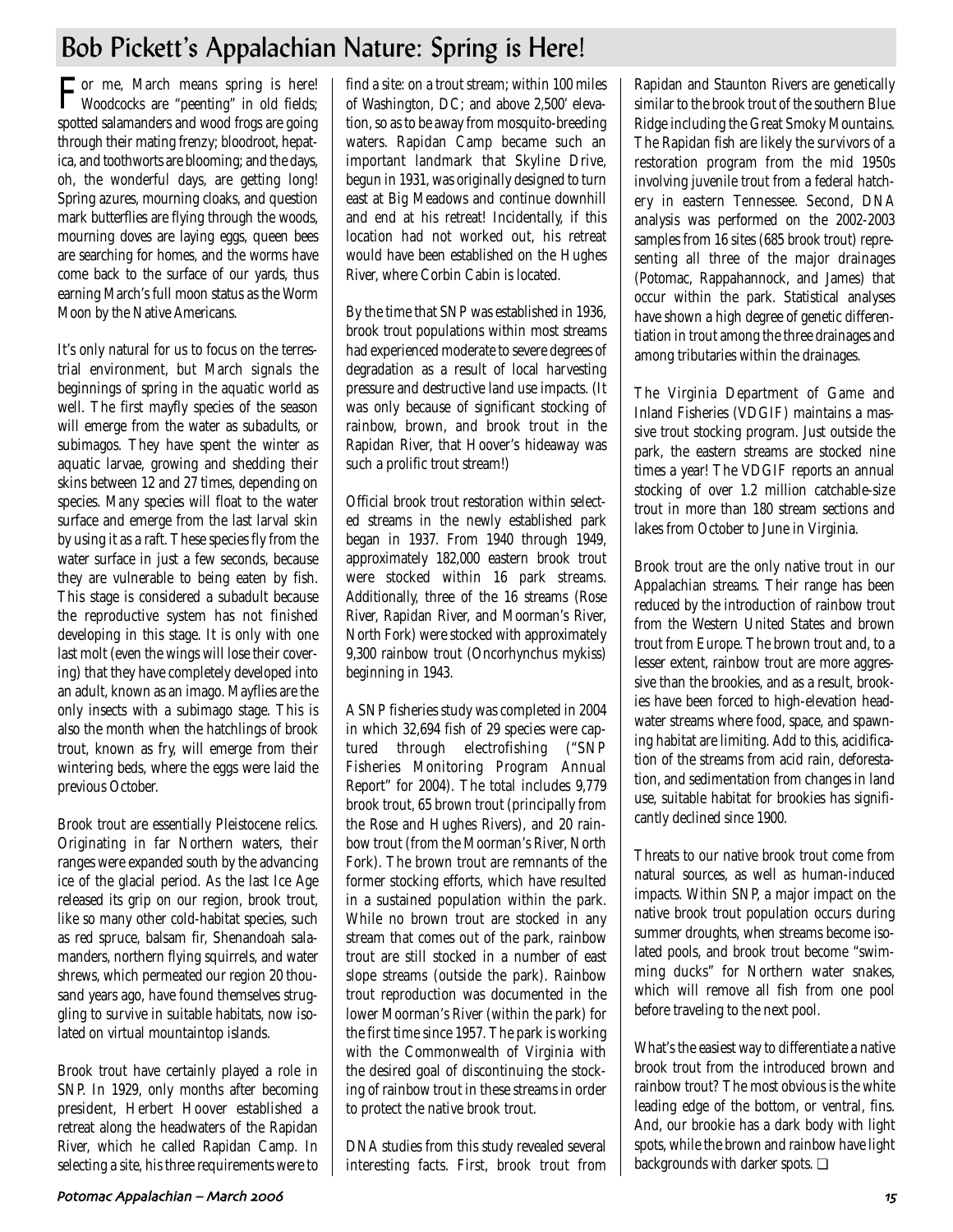# Bob Pickett's Appalachian Nature: Spring is Here!

For me, March means spring is here! Woodcocks are "peenting" in old fields; spotted salamanders and wood frogs are going through their mating frenzy; bloodroot, hepatica, and toothworts are blooming; and the days, oh, the wonderful days, are getting long! Spring azures, mourning cloaks, and question mark butterflies are flying through the woods, mourning doves are laying eggs, queen bees are searching for homes, and the worms have come back to the surface of our yards, thus earning March's full moon status as the Worm Moon by the Native Americans.

It's only natural for us to focus on the terrestrial environment, but March signals the beginnings of spring in the aquatic world as well. The first mayfly species of the season will emerge from the water as subadults, or subimagos. They have spent the winter as aquatic larvae, growing and shedding their skins between 12 and 27 times, depending on species. Many species will float to the water surface and emerge from the last larval skin by using it as a raft. These species fly from the water surface in just a few seconds, because they are vulnerable to being eaten by fish. This stage is considered a subadult because the reproductive system has not finished developing in this stage. It is only with one last molt (even the wings will lose their covering) that they have completely developed into an adult, known as an imago. Mayflies are the only insects with a subimago stage. This is also the month when the hatchlings of brook trout, known as fry, will emerge from their wintering beds, where the eggs were laid the previous October.

Brook trout are essentially Pleistocene relics. Originating in far Northern waters, their ranges were expanded south by the advancing ice of the glacial period. As the last Ice Age released its grip on our region, brook trout, like so many other cold-habitat species, such as red spruce, balsam fir, Shenandoah salamanders, northern flying squirrels, and water shrews, which permeated our region 20 thousand years ago, have found themselves struggling to survive in suitable habitats, now isolated on virtual mountaintop islands.

Brook trout have certainly played a role in SNP. In 1929, only months after becoming president, Herbert Hoover established a retreat along the headwaters of the Rapidan River, which he called Rapidan Camp. In selecting a site, his three requirements were to find a site: on a trout stream; within 100 miles of Washington, DC; and above 2,500' elevation, so as to be away from mosquito-breeding waters. Rapidan Camp became such an important landmark that Skyline Drive, begun in 1931, was originally designed to turn east at Big Meadows and continue downhill and end at his retreat! Incidentally, if this location had not worked out, his retreat would have been established on the Hughes River, where Corbin Cabin is located.

By the time that SNP was established in 1936, brook trout populations within most streams had experienced moderate to severe degrees of degradation as a result of local harvesting pressure and destructive land use impacts. (It was only because of significant stocking of rainbow, brown, and brook trout in the Rapidan River, that Hoover's hideaway was such a prolific trout stream!)

Official brook trout restoration within selected streams in the newly established park began in 1937. From 1940 through 1949, approximately 182,000 eastern brook trout were stocked within 16 park streams. Additionally, three of the 16 streams (Rose River, Rapidan River, and Moorman's River, North Fork) were stocked with approximately 9,300 rainbow trout (Oncorhynchus mykiss) beginning in 1943.

A SNP fisheries study was completed in 2004 in which 32,694 fish of 29 species were captured through electrofishing ("SNP Fisheries Monitoring Program Annual Report" for 2004). The total includes 9,779 brook trout, 65 brown trout (principally from the Rose and Hughes Rivers), and 20 rainbow trout (from the Moorman's River, North Fork). The brown trout are remnants of the former stocking efforts, which have resulted in a sustained population within the park. While no brown trout are stocked in any stream that comes out of the park, rainbow trout are still stocked in a number of east slope streams (outside the park). Rainbow trout reproduction was documented in the lower Moorman's River (within the park) for the first time since 1957. The park is working with the Commonwealth of Virginia with the desired goal of discontinuing the stocking of rainbow trout in these streams in order to protect the native brook trout.

DNA studies from this study revealed several interesting facts. First, brook trout from Rapidan and Staunton Rivers are genetically similar to the brook trout of the southern Blue Ridge including the Great Smoky Mountains. The Rapidan fish are likely the survivors of a restoration program from the mid 1950s involving juvenile trout from a federal hatchery in eastern Tennessee. Second, DNA analysis was performed on the 2002-2003 samples from 16 sites (685 brook trout) representing all three of the major drainages (Potomac, Rappahannock, and James) that occur within the park. Statistical analyses have shown a high degree of genetic differentiation in trout among the three drainages and among tributaries within the drainages.

The Virginia Department of Game and Inland Fisheries (VDGIF) maintains a massive trout stocking program. Just outside the park, the eastern streams are stocked nine times a year! The VDGIF reports an annual stocking of over 1.2 million catchable-size trout in more than 180 stream sections and lakes from October to June in Virginia.

Brook trout are the only native trout in our Appalachian streams. Their range has been reduced by the introduction of rainbow trout from the Western United States and brown trout from Europe. The brown trout and, to a lesser extent, rainbow trout are more aggressive than the brookies, and as a result, brookies have been forced to high-elevation headwater streams where food, space, and spawning habitat are limiting. Add to this, acidification of the streams from acid rain, deforestation, and sedimentation from changes in land use, suitable habitat for brookies has significantly declined since 1900.

Threats to our native brook trout come from natural sources, as well as human-induced impacts. Within SNP, a major impact on the native brook trout population occurs during summer droughts, when streams become isolated pools, and brook trout become "swimming ducks" for Northern water snakes, which will remove all fish from one pool before traveling to the next pool.

What's the easiest way to differentiate a native brook trout from the introduced brown and rainbow trout? The most obvious is the white leading edge of the bottom, or ventral, fins. And, our brookie has a dark body with light spots, while the brown and rainbow have light backgrounds with darker spots. ❏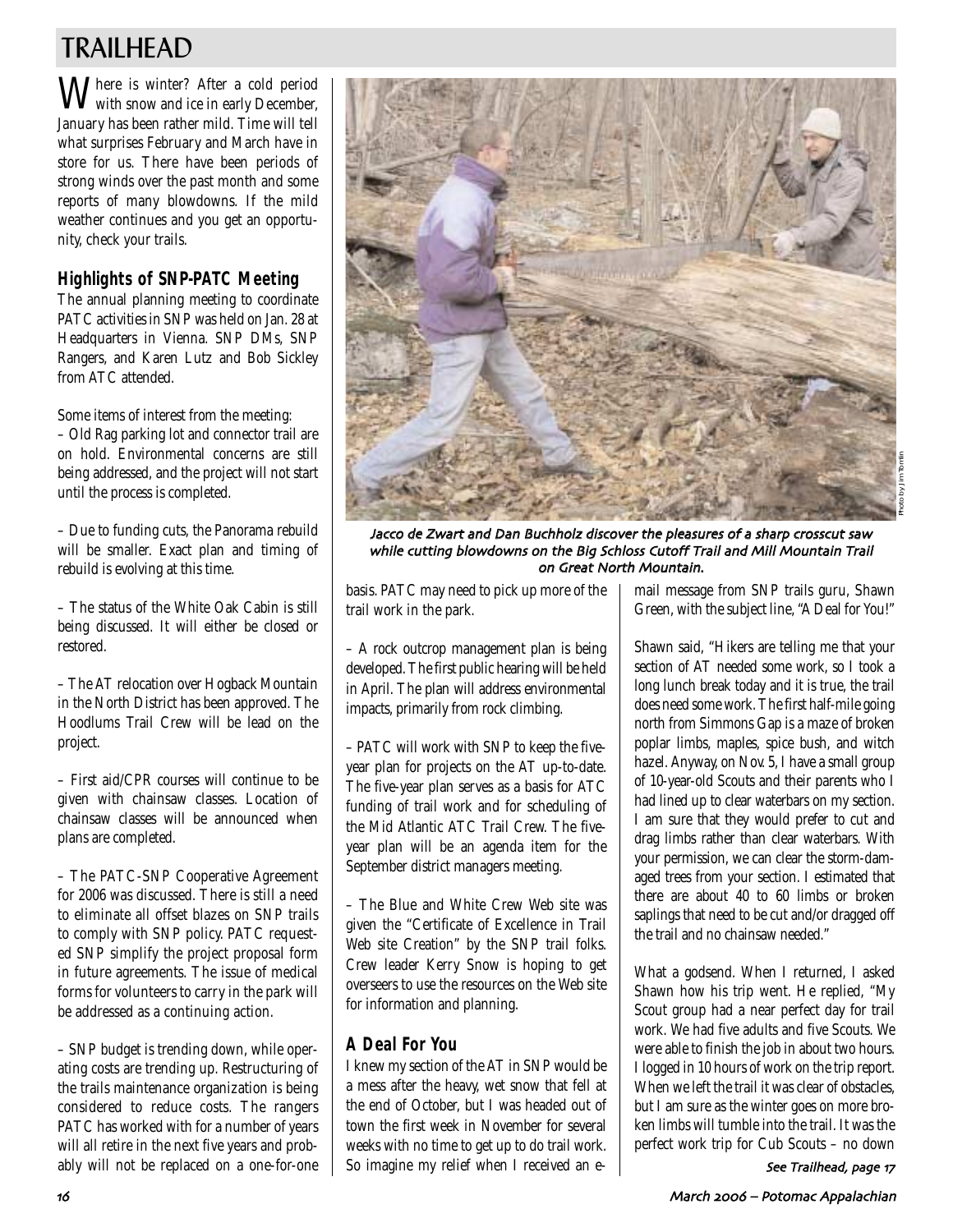# TRAILHEAD

Where is winter? After a cold period with snow and ice in early December, January has been rather mild. Time will tell what surprises February and March have in store for us. There have been periods of strong winds over the past month and some reports of many blowdowns. If the mild weather continues and you get an opportunity, check your trails.

## **Highlights of SNP-PATC Meeting**

The annual planning meeting to coordinate PATC activities in SNP was held on Jan. 28 at Headquarters in Vienna. SNP DMs, SNP Rangers, and Karen Lutz and Bob Sickley from ATC attended.

Some items of interest from the meeting:

– Old Rag parking lot and connector trail are on hold. Environmental concerns are still being addressed, and the project will not start until the process is completed.

– Due to funding cuts, the Panorama rebuild will be smaller. Exact plan and timing of rebuild is evolving at this time.

– The status of the White Oak Cabin is still being discussed. It will either be closed or restored.

– The AT relocation over Hogback Mountain in the North District has been approved. The Hoodlums Trail Crew will be lead on the project.

– First aid/CPR courses will continue to be given with chainsaw classes. Location of chainsaw classes will be announced when plans are completed.

– The PATC-SNP Cooperative Agreement for 2006 was discussed. There is still a need to eliminate all offset blazes on SNP trails to comply with SNP policy. PATC requested SNP simplify the project proposal form in future agreements. The issue of medical forms for volunteers to carry in the park will be addressed as a continuing action.

– SNP budget is trending down, while operating costs are trending up. Restructuring of the trails maintenance organization is being considered to reduce costs. The rangers PATC has worked with for a number of years will all retire in the next five years and probably will not be replaced on a one-for-one



Jacco de Zwart and Dan Buchholz discover the pleasures of a sharp crosscut saw while cutting blowdowns on the Big Schloss Cutoff Trail and Mill Mountain Trail on Great North Mountain

basis. PATC may need to pick up more of the trail work in the park.

– A rock outcrop management plan is being developed. The first public hearing will be held in April. The plan will address environmental impacts, primarily from rock climbing.

– PATC will work with SNP to keep the fiveyear plan for projects on the AT up-to-date. The five-year plan serves as a basis for ATC funding of trail work and for scheduling of the Mid Atlantic ATC Trail Crew. The fiveyear plan will be an agenda item for the September district managers meeting.

– The Blue and White Crew Web site was given the "Certificate of Excellence in Trail Web site Creation" by the SNP trail folks. Crew leader Kerry Snow is hoping to get overseers to use the resources on the Web site for information and planning.

## **A Deal For You**

I knew my section of the AT in SNP would be a mess after the heavy, wet snow that fell at the end of October, but I was headed out of town the first week in November for several weeks with no time to get up to do trail work. So imagine my relief when I received an email message from SNP trails guru, Shawn Green, with the subject line, "A Deal for You!"

Shawn said, "Hikers are telling me that your section of AT needed some work, so I took a long lunch break today and it is true, the trail does need some work. The first half-mile going north from Simmons Gap is a maze of broken poplar limbs, maples, spice bush, and witch hazel. Anyway, on Nov. 5, I have a small group of 10-year-old Scouts and their parents who I had lined up to clear waterbars on my section. I am sure that they would prefer to cut and drag limbs rather than clear waterbars. With your permission, we can clear the storm-damaged trees from your section. I estimated that there are about 40 to 60 limbs or broken saplings that need to be cut and/or dragged off the trail and no chainsaw needed."

What a godsend. When I returned, I asked Shawn how his trip went. He replied, "My Scout group had a near perfect day for trail work. We had five adults and five Scouts. We were able to finish the job in about two hours. I logged in 10 hours of work on the trip report. When we left the trail it was clear of obstacles, but I am sure as the winter goes on more broken limbs will tumble into the trail. It was the perfect work trip for Cub Scouts – no down

See Trailhead, page 17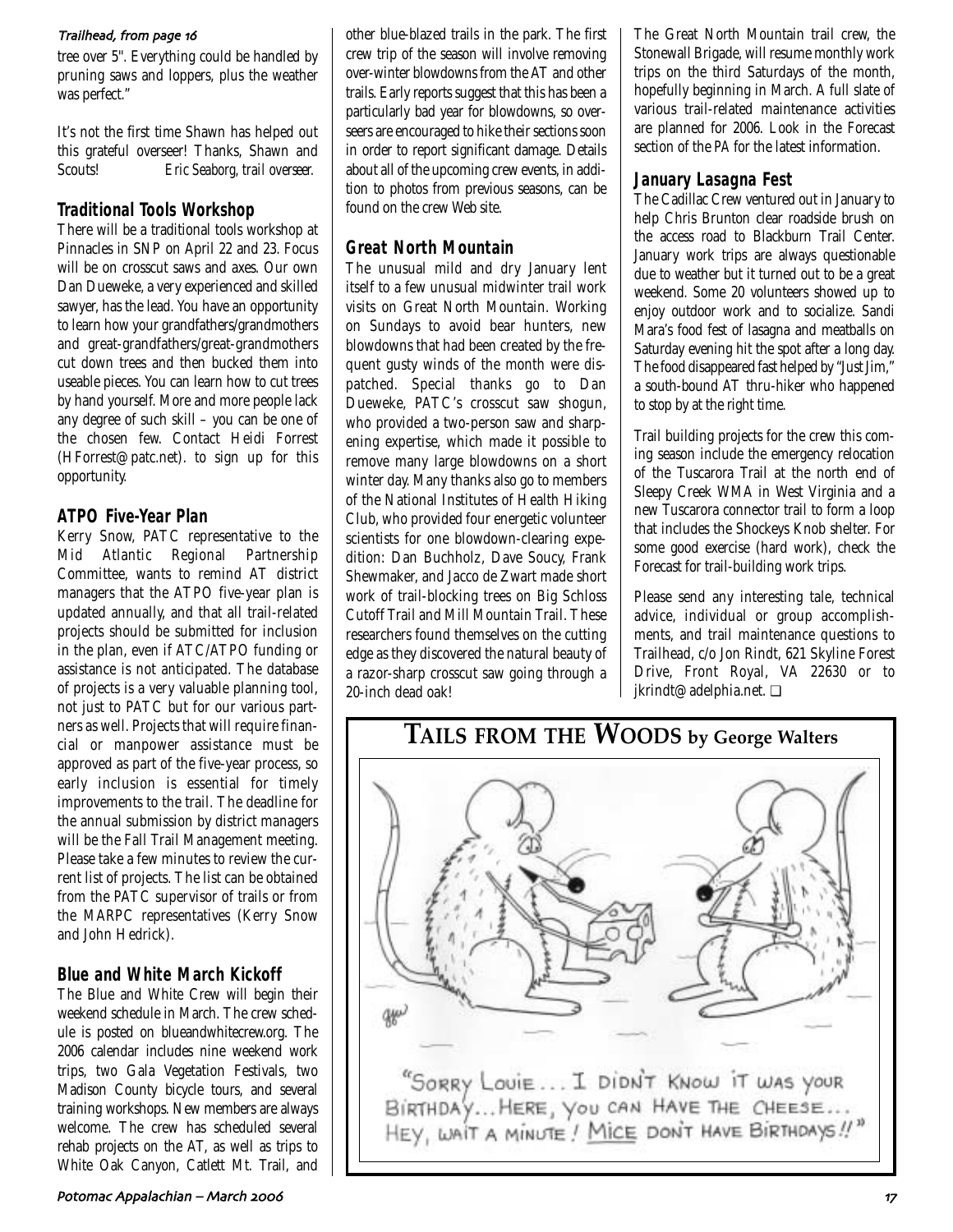### Trailhead, from page 16

tree over 5''. Everything could be handled by pruning saws and loppers, plus the weather was perfect."

It's not the first time Shawn has helped out this grateful overseer! Thanks, Shawn and Scouts! *Eric Seaborg, trail overseer.*

### **Traditional Tools Workshop**

There will be a traditional tools workshop at Pinnacles in SNP on April 22 and 23. Focus will be on crosscut saws and axes. Our own Dan Dueweke, a very experienced and skilled sawyer, has the lead. You have an opportunity to learn how your grandfathers/grandmothers and great-grandfathers/great-grandmothers cut down trees and then bucked them into useable pieces. You can learn how to cut trees by hand yourself. More and more people lack any degree of such skill – you can be one of the chosen few. Contact Heidi Forrest (HForrest@patc.net). to sign up for this opportunity.

## **ATPO Five-Year Plan**

Kerry Snow, PATC representative to the Mid Atlantic Regional Partnership Committee, wants to remind AT district managers that the ATPO five-year plan is updated annually, and that all trail-related projects should be submitted for inclusion in the plan, even if ATC/ATPO funding or assistance is not anticipated. The database of projects is a very valuable planning tool, not just to PATC but for our various partners as well. Projects that will require financial or manpower assistance must be approved as part of the five-year process, so early inclusion is essential for timely improvements to the trail. The deadline for the annual submission by district managers will be the Fall Trail Management meeting. Please take a few minutes to review the current list of projects. The list can be obtained from the PATC supervisor of trails or from the MARPC representatives (Kerry Snow and John Hedrick).

## **Blue and White March Kickoff**

The Blue and White Crew will begin their weekend schedule in March. The crew schedule is posted on blueandwhitecrew.org. The 2006 calendar includes nine weekend work trips, two Gala Vegetation Festivals, two Madison County bicycle tours, and several training workshops. New members are always welcome. The crew has scheduled several rehab projects on the AT, as well as trips to White Oak Canyon, Catlett Mt. Trail, and other blue-blazed trails in the park. The first crew trip of the season will involve removing over-winter blowdowns from the AT and other trails. Early reports suggest that this has been a particularly bad year for blowdowns, so overseers are encouraged to hike their sections soon in order to report significant damage. Details about all of the upcoming crew events, in addition to photos from previous seasons, can be found on the crew Web site.

## **Great North Mountain**

The unusual mild and dry January lent itself to a few unusual midwinter trail work visits on Great North Mountain. Working on Sundays to avoid bear hunters, new blowdowns that had been created by the frequent gusty winds of the month were dispatched. Special thanks go to Dan Dueweke, PATC's crosscut saw shogun, who provided a two-person saw and sharpening expertise, which made it possible to remove many large blowdowns on a short winter day. Many thanks also go to members of the National Institutes of Health Hiking Club, who provided four energetic volunteer scientists for one blowdown-clearing expedition: Dan Buchholz, Dave Soucy, Frank Shewmaker, and Jacco de Zwart made short work of trail-blocking trees on Big Schloss Cutoff Trail and Mill Mountain Trail. These researchers found themselves on the cutting edge as they discovered the natural beauty of a razor-sharp crosscut saw going through a 20-inch dead oak!

The Great North Mountain trail crew, the Stonewall Brigade, will resume monthly work trips on the third Saturdays of the month, hopefully beginning in March. A full slate of various trail-related maintenance activities are planned for 2006. Look in the Forecast section of the *PA* for the latest information.

### **January Lasagna Fest**

The Cadillac Crew ventured out in January to help Chris Brunton clear roadside brush on the access road to Blackburn Trail Center. January work trips are always questionable due to weather but it turned out to be a great weekend. Some 20 volunteers showed up to enjoy outdoor work and to socialize. Sandi Mara's food fest of lasagna and meatballs on Saturday evening hit the spot after a long day. The food disappeared fast helped by "Just Jim," a south-bound AT thru-hiker who happened to stop by at the right time.

Trail building projects for the crew this coming season include the emergency relocation of the Tuscarora Trail at the north end of Sleepy Creek WMA in West Virginia and a new Tuscarora connector trail to form a loop that includes the Shockeys Knob shelter. For some good exercise (hard work), check the Forecast for trail-building work trips.

Please send any interesting tale, technical advice, individual or group accomplishments, and trail maintenance questions to Trailhead, c/o Jon Rindt, 621 Skyline Forest Drive, Front Royal, VA 22630 or to jkrindt@adelphia.net. ❏

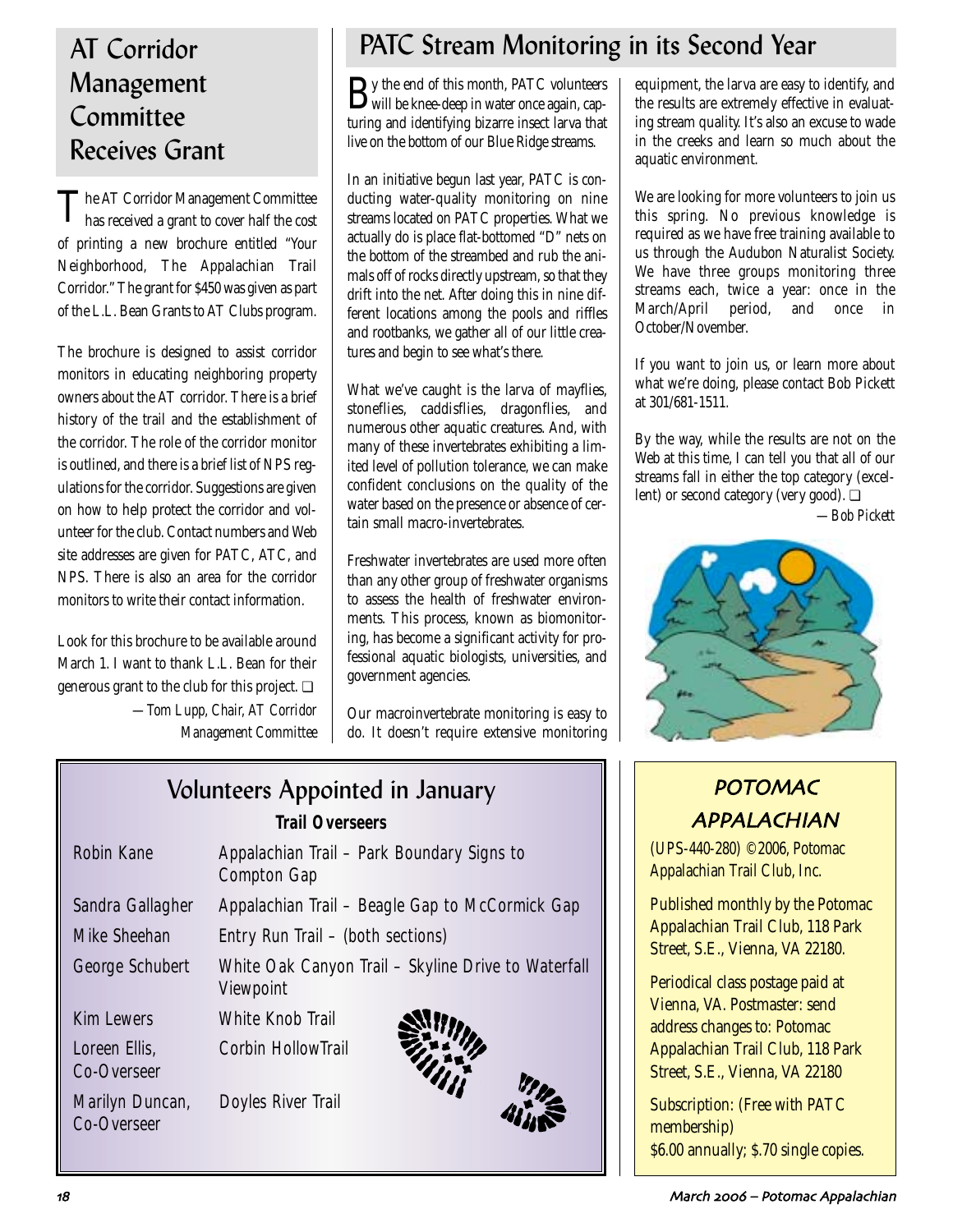# Management **Committee** Receives Grant

The AT Corridor Management Committee<br>has received a grant to cover half the cost of printing a new brochure entitled "Your Neighborhood, The Appalachian Trail Corridor." The grant for \$450 was given as part of the L.L. Bean Grants to AT Clubs program.

The brochure is designed to assist corridor monitors in educating neighboring property owners about the AT corridor. There is a brief history of the trail and the establishment of the corridor. The role of the corridor monitor is outlined, and there is a brief list of NPS regulations for the corridor. Suggestions are given on how to help protect the corridor and volunteer for the club. Contact numbers and Web site addresses are given for PATC, ATC, and NPS. There is also an area for the corridor monitors to write their contact information.

Look for this brochure to be available around March 1. I want to thank L.L. Bean for their generous grant to the club for this project. ❏ *—Tom Lupp, Chair, AT Corridor Management Committee*

# AT Corridor **PATC Stream Monitoring in its Second Year**

By the end of this month, PATC volunteers will be knee-deep in water once again, capturing and identifying bizarre insect larva that live on the bottom of our Blue Ridge streams.

In an initiative begun last year, PATC is conducting water-quality monitoring on nine streams located on PATC properties. What we actually do is place flat-bottomed "D" nets on the bottom of the streambed and rub the animals off of rocks directly upstream, so that they drift into the net. After doing this in nine different locations among the pools and riffles and rootbanks, we gather all of our little creatures and begin to see what's there.

What we've caught is the larva of mayflies, stoneflies, caddisflies, dragonflies, and numerous other aquatic creatures. And, with many of these invertebrates exhibiting a limited level of pollution tolerance, we can make confident conclusions on the quality of the water based on the presence or absence of certain small macro-invertebrates.

Freshwater invertebrates are used more often than any other group of freshwater organisms to assess the health of freshwater environments. This process, known as biomonitoring, has become a significant activity for professional aquatic biologists, universities, and government agencies.

Our macroinvertebrate monitoring is easy to do. It doesn't require extensive monitoring equipment, the larva are easy to identify, and the results are extremely effective in evaluating stream quality. It's also an excuse to wade in the creeks and learn so much about the aquatic environment.

We are looking for more volunteers to join us this spring. No previous knowledge is required as we have free training available to us through the Audubon Naturalist Society. We have three groups monitoring three streams each, twice a year: once in the March/April period, and once in October/November.

If you want to join us, or learn more about what we're doing, please contact Bob Pickett at 301/681-1511.

By the way, while the results are not on the Web at this time, I can tell you that all of our streams fall in either the top category (excellent) or second category (very good). ❏

*—Bob Pickett*



# POTOMAC APPALACHIAN

(UPS-440-280) ©2006, Potomac Appalachian Trail Club, Inc.

Published monthly by the Potomac Appalachian Trail Club, 118 Park Street, S.E., Vienna, VA 22180.

Periodical class postage paid at Vienna, VA. Postmaster: send address changes to: Potomac Appalachian Trail Club, 118 Park Street, S.E., Vienna, VA 22180

Subscription: (Free with PATC membership) \$6.00 annually; \$.70 single copies.

# Volunteers Appointed in January *Trail Overseers*  Robin Kane **Appalachian Trail – Park Boundary Signs to** Compton Gap Sandra Gallagher Appalachian Trail – Beagle Gap to McCormick Gap Mike Sheehan Entry Run Trail – (both sections) George Schubert White Oak Canyon Trail – Skyline Drive to Waterfall Viewpoint Kim Lewers White Knob Trail Loreen Ellis, Corbin HollowTrail Co-Overseer Marilyn Duncan, Doyles River Trail Co-Overseer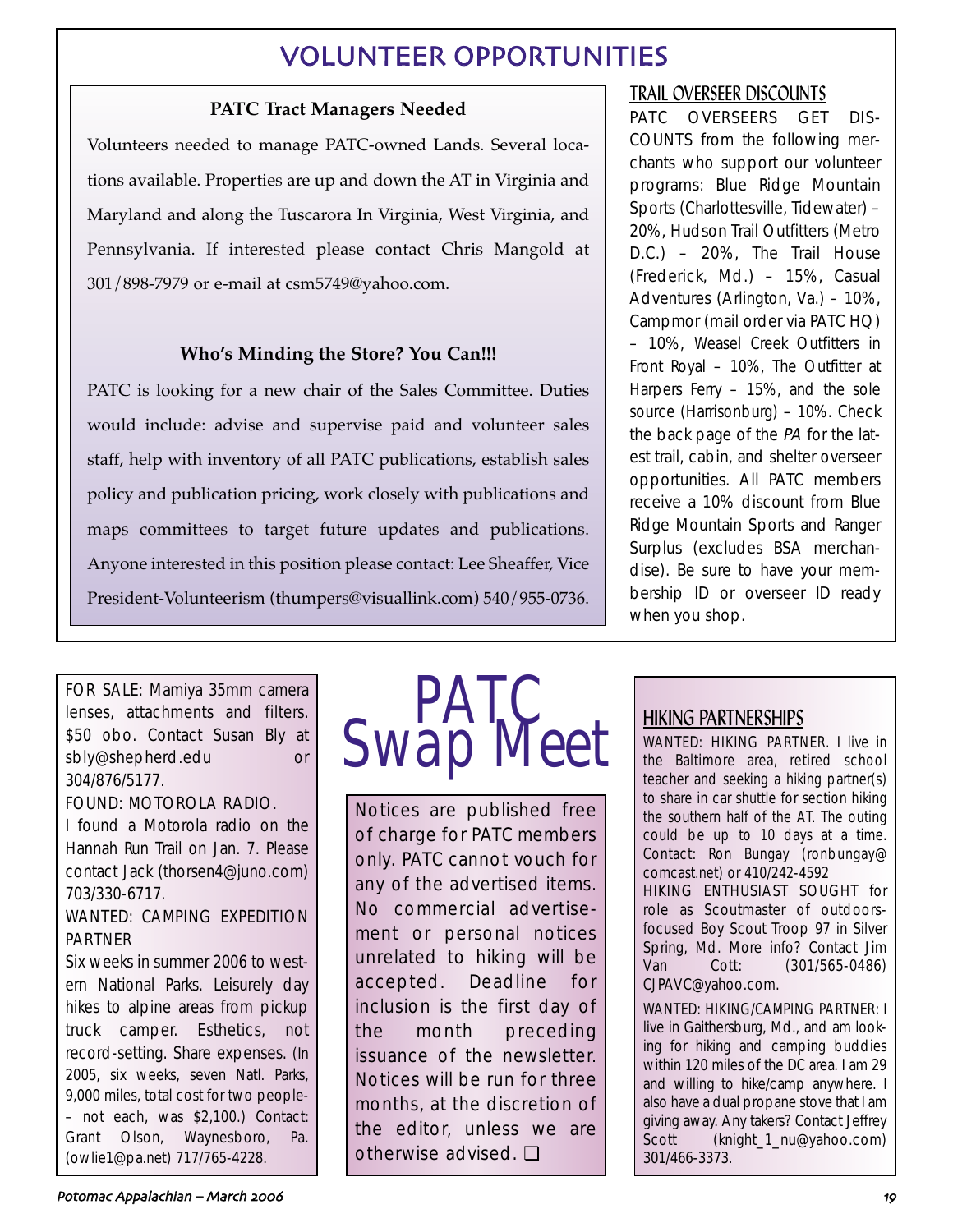# VOLUNTEER OPPORTUNITIES

## **PATC Tract Managers Needed**

Volunteers needed to manage PATC-owned Lands. Several locations available. Properties are up and down the AT in Virginia and Maryland and along the Tuscarora In Virginia, West Virginia, and Pennsylvania. If interested please contact Chris Mangold at 301/898-7979 or e-mail at csm5749@yahoo.com.

## **Who's Minding the Store? You Can!!!**

PATC is looking for a new chair of the Sales Committee. Duties would include: advise and supervise paid and volunteer sales staff, help with inventory of all PATC publications, establish sales policy and publication pricing, work closely with publications and maps committees to target future updates and publications. Anyone interested in this position please contact: Lee Sheaffer, Vice President-Volunteerism (thumpers@visuallink.com) 540/955-0736.

## TRAIL OVERSEER DISCOUNTS

PATC OVERSEERS GET DIS-COUNTS from the following merchants who support our volunteer programs: Blue Ridge Mountain Sports (Charlottesville, Tidewater) – 20%, Hudson Trail Outfitters (Metro D.C.) – 20%, The Trail House (Frederick, Md.) – 15%, Casual Adventures (Arlington, Va.) – 10%, Campmor (mail order via PATC HQ) – 10%, Weasel Creek Outfitters in Front Royal – 10%, The Outfitter at Harpers Ferry – 15%, and the sole source (Harrisonburg) – 10%. Check the back page of the PA for the latest trail, cabin, and shelter overseer opportunities. All PATC members receive a 10% discount from Blue Ridge Mountain Sports and Ranger Surplus (excludes BSA merchandise). Be sure to have your membership ID or overseer ID ready when you shop.

FOR SALE: Mamiya 35mm camera lenses, attachments and filters. \$50 obo. Contact Susan Bly at sbly@shepherd.edu or 304/876/5177.

## FOUND: MOTOROLA RADIO.

I found a Motorola radio on the Hannah Run Trail on Jan. 7. Please contact Jack (thorsen4@juno.com) 703/330-6717.

## WANTED: CAMPING EXPEDITION PARTNER

Six weeks in summer 2006 to western National Parks. Leisurely day hikes to alpine areas from pickup truck camper. Esthetics, not record-setting. Share expenses. (In 2005, six weeks, seven Natl. Parks, 9,000 miles, total cost for two people- – not each, was \$2,100.) Contact: Grant Olson, Waynesboro, Pa. (owlie1@pa.net) 717/765-4228.



Notices are published free of charge for PATC members only. PATC cannot vouch for any of the advertised items. No commercial advertisement or personal notices unrelated to hiking will be accepted. Deadline for inclusion is the first day of the month preceding issuance of the newsletter. Notices will be run for three months, at the discretion of the editor, unless we are otherwise advised. ❏

# HIKING PARTNERSHIPS

WANTED: HIKING PARTNER. I live in the Baltimore area, retired school teacher and seeking a hiking partner(s) to share in car shuttle for section hiking the southern half of the AT. The outing could be up to 10 days at a time. Contact: Ron Bungay (ronbungay@ comcast.net) or 410/242-4592

HIKING ENTHUSIAST SOUGHT for role as Scoutmaster of outdoorsfocused Boy Scout Troop 97 in Silver Spring, Md. More info? Contact Jim Van Cott: (301/565-0486) CJPAVC@yahoo.com.

WANTED: HIKING/CAMPING PARTNER: I live in Gaithersburg, Md., and am looking for hiking and camping buddies within 120 miles of the DC area. I am 29 and willing to hike/camp anywhere. I also have a dual propane stove that I am giving away. Any takers? Contact Jeffrey Scott (knight\_1\_nu@yahoo.com) 301/466-3373.